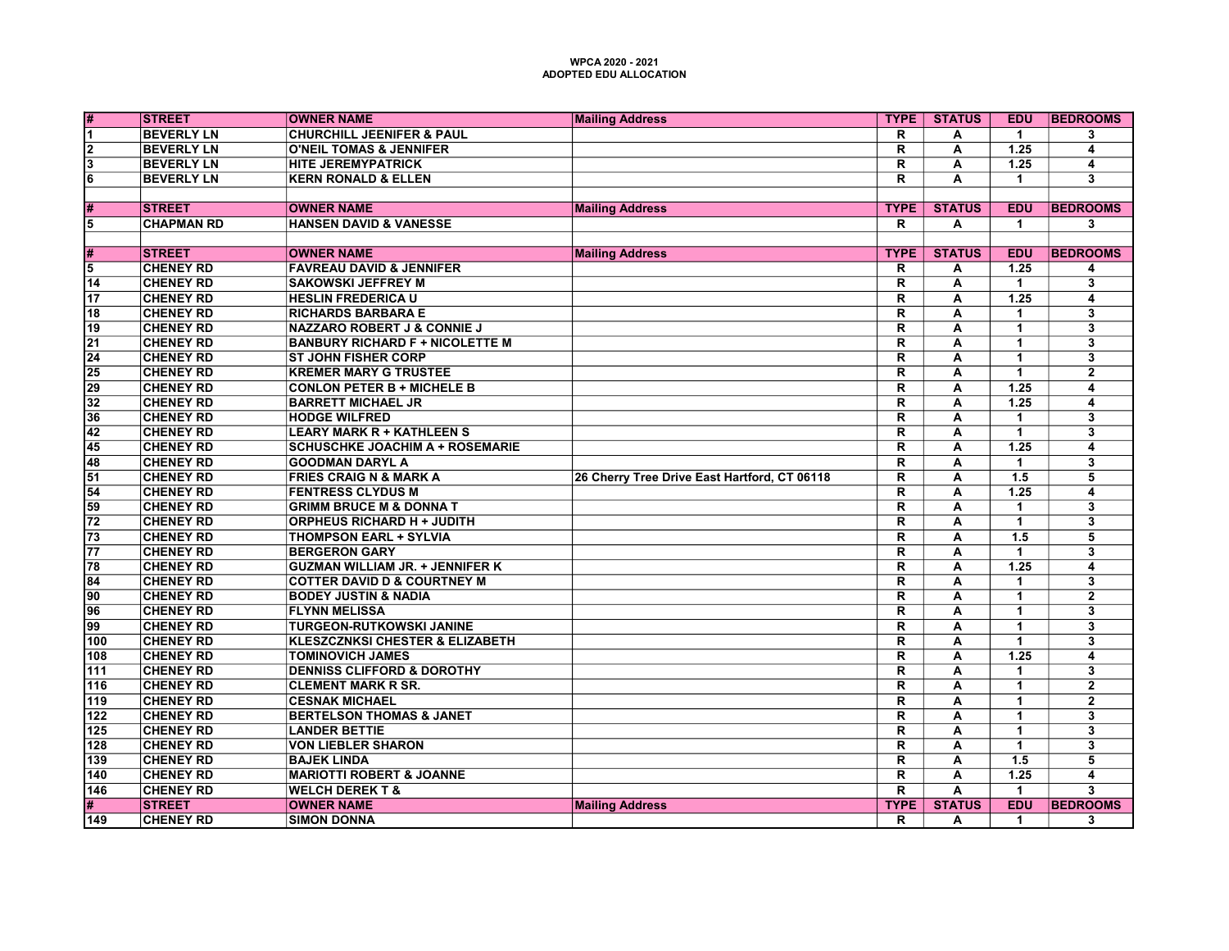| #                       | <b>ISTREET</b>    | <b>OWNER NAME</b>                          | <b>Mailing Address</b>                       | <b>TYPE</b>             | <b>STATUS</b>           | <b>EDU</b>           | <b>BEDROOMS</b>         |
|-------------------------|-------------------|--------------------------------------------|----------------------------------------------|-------------------------|-------------------------|----------------------|-------------------------|
| $\overline{1}$          | <b>BEVERLY LN</b> | <b>CHURCHILL JEENIFER &amp; PAUL</b>       |                                              | R                       | А                       | $\mathbf{1}$         | 3                       |
| 2                       | <b>BEVERLY LN</b> | <b>O'NEIL TOMAS &amp; JENNIFER</b>         |                                              | $\overline{\mathsf{R}}$ | A                       | 1.25                 | 4                       |
| $\overline{\mathbf{3}}$ | <b>BEVERLY LN</b> | <b>HITE JEREMYPATRICK</b>                  |                                              | R                       | A                       | 1.25                 | 4                       |
| $6\overline{6}$         | <b>BEVERLY LN</b> | <b>KERN RONALD &amp; ELLEN</b>             |                                              | $\overline{\mathsf{R}}$ | A                       | $\mathbf{1}$         | 3                       |
|                         |                   |                                            |                                              |                         |                         |                      |                         |
| #                       | <b>STREET</b>     | <b>OWNER NAME</b>                          | <b>Mailing Address</b>                       | <b>TYPE</b>             | <b>STATUS</b>           | <b>EDU</b>           | <b>BEDROOMS</b>         |
| 5                       | <b>CHAPMAN RD</b> | <b>HANSEN DAVID &amp; VANESSE</b>          |                                              | R.                      | A                       | $\mathbf{1}$         | 3                       |
|                         |                   |                                            |                                              |                         |                         |                      |                         |
| #                       | <b>STREET</b>     | <b>OWNER NAME</b>                          | <b>Mailing Address</b>                       | <b>TYPE</b>             | <b>STATUS</b>           | <b>EDU</b>           | <b>BEDROOMS</b>         |
| $\overline{5}$          | <b>CHENEY RD</b>  | <b>FAVREAU DAVID &amp; JENNIFER</b>        |                                              | R                       | Α                       | $\overline{1.25}$    | 4                       |
| $\overline{14}$         | <b>CHENEY RD</b>  | <b>SAKOWSKI JEFFREY M</b>                  |                                              | $\overline{\mathsf{R}}$ | A                       | $\mathbf{1}$         | 3                       |
| 17                      | <b>CHENEY RD</b>  | <b>HESLIN FREDERICA U</b>                  |                                              | R                       | A                       | 1.25                 | $\overline{\mathbf{4}}$ |
| 18                      | <b>CHENEY RD</b>  | <b>RICHARDS BARBARA E</b>                  |                                              | R                       | А                       | $\mathbf{1}$         | 3                       |
| 19                      | <b>CHENEY RD</b>  | <b>NAZZARO ROBERT J &amp; CONNIE J</b>     |                                              | $\overline{\mathsf{R}}$ | Ā                       | $\overline{1}$       | $\overline{3}$          |
| $\overline{21}$         | <b>CHENEY RD</b>  | <b>BANBURY RICHARD F + NICOLETTE M</b>     |                                              | $\overline{\mathsf{R}}$ | A                       | $\mathbf{1}$         | $\overline{\mathbf{3}}$ |
| $\overline{24}$         | <b>CHENEY RD</b>  | <b>ST JOHN FISHER CORP</b>                 |                                              | $\overline{\mathsf{R}}$ | A                       | $\blacktriangleleft$ | $\overline{\mathbf{3}}$ |
| 25                      | <b>CHENEY RD</b>  | <b>KREMER MARY G TRUSTEE</b>               |                                              | R                       | A                       | $\blacktriangleleft$ | $\overline{2}$          |
| $\overline{29}$         | <b>CHENEY RD</b>  | <b>CONLON PETER B + MICHELE B</b>          |                                              | $\overline{\mathsf{R}}$ | А                       | 1.25                 | $\overline{4}$          |
| 32                      | <b>CHENEY RD</b>  | <b>BARRETT MICHAEL JR</b>                  |                                              | $\overline{\mathsf{R}}$ | $\overline{\mathsf{A}}$ | $\overline{1.25}$    | $\overline{4}$          |
| $\overline{36}$         | <b>CHENEY RD</b>  | <b>HODGE WILFRED</b>                       |                                              | $\overline{\mathsf{R}}$ | A                       | $\mathbf{1}$         | $\overline{\mathbf{3}}$ |
| $\overline{42}$         | <b>CHENEY RD</b>  | <b>LEARY MARK R + KATHLEEN S</b>           |                                              | $\overline{\mathsf{R}}$ | A                       | $\overline{1}$       | $\overline{\mathbf{3}}$ |
| 45                      | <b>CHENEY RD</b>  | <b>SCHUSCHKE JOACHIM A + ROSEMARIE</b>     |                                              | R                       | A                       | 1.25                 | $\overline{\mathbf{4}}$ |
| 48                      | <b>CHENEY RD</b>  | <b>GOODMAN DARYL A</b>                     |                                              | $\overline{\mathsf{R}}$ | A                       | $\blacktriangleleft$ | $\overline{\mathbf{3}}$ |
| 51                      | <b>CHENEY RD</b>  | <b>FRIES CRAIG N &amp; MARK A</b>          | 26 Cherry Tree Drive East Hartford, CT 06118 | $\overline{\mathsf{R}}$ | A                       | 1.5                  | $\overline{5}$          |
| 54                      | <b>CHENEY RD</b>  | <b>FENTRESS CLYDUS M</b>                   |                                              | $\overline{\mathsf{R}}$ | A                       | 1.25                 | 4                       |
| $\overline{59}$         | <b>CHENEY RD</b>  | <b>GRIMM BRUCE M &amp; DONNA T</b>         |                                              | $\overline{\mathsf{R}}$ | Α                       | $\mathbf{1}$         | 3                       |
| $\overline{72}$         | <b>CHENEY RD</b>  | <b>ORPHEUS RICHARD H + JUDITH</b>          |                                              | $\overline{\mathsf{R}}$ | A                       | $\overline{1}$       | $\overline{\mathbf{3}}$ |
| $\overline{73}$         | <b>CHENEY RD</b>  | <b>THOMPSON EARL + SYLVIA</b>              |                                              | $\overline{\mathsf{R}}$ | A                       | 1.5                  | $\overline{5}$          |
| 77                      | <b>CHENEY RD</b>  | <b>BERGERON GARY</b>                       |                                              | $\overline{\mathsf{R}}$ | Ā                       | $\blacktriangleleft$ | $\overline{\mathbf{3}}$ |
| 78                      | <b>CHENEY RD</b>  | <b>GUZMAN WILLIAM JR. + JENNIFER K</b>     |                                              | R                       | A                       | 1.25                 | 4                       |
| 84                      | <b>CHENEY RD</b>  | <b>COTTER DAVID D &amp; COURTNEY M</b>     |                                              | $\overline{\mathsf{R}}$ | $\overline{\mathsf{A}}$ | $\mathbf{1}$         | $\overline{\mathbf{3}}$ |
| 90                      | <b>CHENEY RD</b>  | <b>BODEY JUSTIN &amp; NADIA</b>            |                                              | R                       | A                       | $\overline{1}$       | $\overline{2}$          |
| 96                      | <b>CHENEY RD</b>  | <b>FLYNN MELISSA</b>                       |                                              | $\overline{\mathsf{R}}$ | A                       | $\blacktriangleleft$ | 3                       |
| 99                      | <b>CHENEY RD</b>  | <b>TURGEON-RUTKOWSKI JANINE</b>            |                                              | $\overline{\mathsf{R}}$ | A                       | $\blacktriangleleft$ | $\overline{\mathbf{3}}$ |
| 100                     | <b>CHENEY RD</b>  | <b>KLESZCZNKSI CHESTER &amp; ELIZABETH</b> |                                              | R                       | Α                       | $\blacktriangleleft$ | 3                       |
| 108                     | <b>CHENEY RD</b>  | <b>TOMINOVICH JAMES</b>                    |                                              | $\overline{\mathsf{R}}$ | $\overline{\mathsf{A}}$ | 1.25                 | $\overline{4}$          |
| 111                     | <b>CHENEY RD</b>  | <b>DENNISS CLIFFORD &amp; DOROTHY</b>      |                                              | R                       | A                       | $\mathbf{1}$         | 3                       |
| 116                     | <b>CHENEY RD</b>  | <b>CLEMENT MARK R SR.</b>                  |                                              | $\overline{\mathsf{R}}$ | A                       | $\blacktriangleleft$ | $\overline{2}$          |
| 119                     | <b>CHENEY RD</b>  | <b>CESNAK MICHAEL</b>                      |                                              | R                       | A                       | $\mathbf{1}$         | $\overline{2}$          |
| 122                     | <b>CHENEY RD</b>  | <b>BERTELSON THOMAS &amp; JANET</b>        |                                              | $\overline{\mathsf{R}}$ | A                       | $\mathbf{1}$         | $\overline{\mathbf{3}}$ |
| 125                     | <b>CHENEY RD</b>  | <b>LANDER BETTIE</b>                       |                                              | $\overline{\mathsf{R}}$ | A                       | $\mathbf{1}$         | $\overline{\mathbf{3}}$ |
| 128                     | <b>CHENEY RD</b>  | <b>VON LIEBLER SHARON</b>                  |                                              | R                       | A                       | $\blacktriangleleft$ | $\overline{\mathbf{3}}$ |
| 139                     | <b>CHENEY RD</b>  | <b>BAJEK LINDA</b>                         |                                              | R.                      | A                       | 1.5                  | 5                       |
| 140                     | <b>CHENEY RD</b>  | <b>MARIOTTI ROBERT &amp; JOANNE</b>        |                                              | $\overline{\mathsf{R}}$ | A                       | $\overline{1.25}$    | $\overline{4}$          |
| 146                     | <b>CHENEY RD</b>  | <b>WELCH DEREK T &amp;</b>                 |                                              | $\overline{\mathsf{R}}$ | Ā                       | $\mathbf{1}$         | $\overline{\mathbf{3}}$ |
| #                       | <b>STREET</b>     | <b>OWNER NAME</b>                          | <b>Mailing Address</b>                       | <b>TYPE</b>             | <b>STATUS</b>           | <b>EDU</b>           | <b>BEDROOMS</b>         |
| 149                     | <b>CHENEY RD</b>  | <b>SIMON DONNA</b>                         |                                              | R.                      | Α                       | $\mathbf{1}$         | 3                       |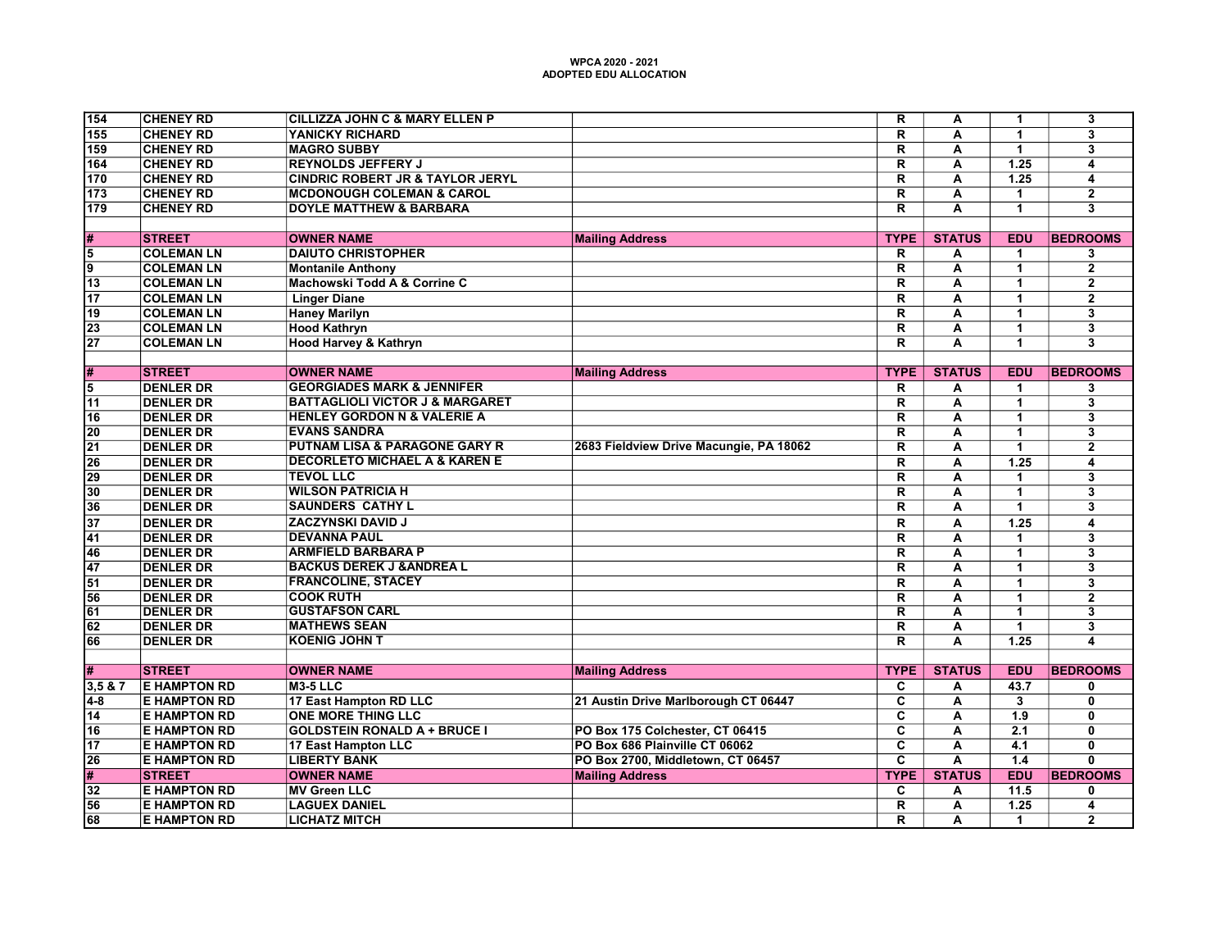| 154             | <b>CHENEY RD</b>    | <b>CILLIZZA JOHN C &amp; MARY ELLEN P</b>   |                                         | $\overline{\mathsf{R}}$ | A                       | $\mathbf{1}$         | $\overline{\mathbf{3}}$ |
|-----------------|---------------------|---------------------------------------------|-----------------------------------------|-------------------------|-------------------------|----------------------|-------------------------|
| 155             | <b>CHENEY RD</b>    | YANICKY RICHARD                             |                                         | R                       | A                       | 1                    | $\overline{\mathbf{3}}$ |
| 159             | <b>CHENEY RD</b>    | <b>MAGRO SUBBY</b>                          |                                         | $\mathsf{R}$            | A                       | $\overline{1}$       | 3                       |
| 164             | <b>CHENEY RD</b>    | <b>REYNOLDS JEFFERY J</b>                   |                                         | $\overline{\mathsf{R}}$ | $\overline{\mathsf{A}}$ | 1.25                 | $\overline{4}$          |
| 170             | <b>CHENEY RD</b>    | <b>CINDRIC ROBERT JR &amp; TAYLOR JERYL</b> |                                         | $\overline{\mathsf{R}}$ | $\overline{A}$          | 1.25                 | $\overline{\mathbf{4}}$ |
| 173             | <b>CHENEY RD</b>    | <b>MCDONOUGH COLEMAN &amp; CAROL</b>        |                                         | $\overline{\mathsf{R}}$ | A                       | $\mathbf{1}$         | $\overline{2}$          |
| 179             | <b>CHENEY RD</b>    | <b>DOYLE MATTHEW &amp; BARBARA</b>          |                                         | $\overline{\mathsf{R}}$ | $\overline{\mathbf{A}}$ | $\overline{1}$       | $\overline{\mathbf{3}}$ |
|                 |                     |                                             |                                         |                         |                         |                      |                         |
| #               | <b>STREET</b>       | <b>OWNER NAME</b>                           | <b>Mailing Address</b>                  | <b>TYPE</b>             | <b>STATUS</b>           | <b>EDU</b>           | <b>BEDROOMS</b>         |
| 5               | <b>COLEMAN LN</b>   | <b>DAIUTO CHRISTOPHER</b>                   |                                         | R                       | А                       | $\mathbf{1}$         | 3                       |
| 9               | <b>COLEMAN LN</b>   | <b>Montanile Anthony</b>                    |                                         | $\overline{\mathsf{R}}$ | $\overline{\mathsf{A}}$ | $\overline{1}$       | $\overline{2}$          |
| $\overline{13}$ | <b>COLEMAN LN</b>   | Machowski Todd A & Corrine C                |                                         | $\overline{\mathsf{R}}$ | $\overline{\mathbf{A}}$ | $\mathbf{1}$         | $\overline{2}$          |
| $\overline{17}$ | <b>COLEMAN LN</b>   | <b>Linger Diane</b>                         |                                         | R                       | A                       | $\overline{1}$       | $\overline{2}$          |
| $\overline{19}$ | <b>COLEMAN LN</b>   | <b>Haney Marilyn</b>                        |                                         | $\overline{\mathsf{R}}$ | A                       | $\mathbf{1}$         | 3                       |
| 23              | <b>COLEMAN LN</b>   | <b>Hood Kathryn</b>                         |                                         | $\overline{\mathsf{R}}$ | $\overline{\mathsf{A}}$ | $\mathbf{1}$         | $\overline{\mathbf{3}}$ |
| $\overline{27}$ | <b>COLEMAN LN</b>   | <b>Hood Harvey &amp; Kathryn</b>            |                                         | $\overline{\mathsf{R}}$ | $\overline{\mathsf{A}}$ | 1                    | $\overline{\mathbf{3}}$ |
|                 |                     |                                             |                                         |                         |                         |                      |                         |
| #               | <b>STREET</b>       | <b>OWNER NAME</b>                           | <b>Mailing Address</b>                  | <b>TYPE</b>             | <b>STATUS</b>           | <b>EDU</b>           | <b>BEDROOMS</b>         |
| 5               | <b>DENLER DR</b>    | <b>GEORGIADES MARK &amp; JENNIFER</b>       |                                         | R                       | А                       | $\mathbf{1}$         | 3                       |
| 11              | <b>DENLER DR</b>    | <b>BATTAGLIOLI VICTOR J &amp; MARGARET</b>  |                                         | $\overline{\mathsf{R}}$ | $\overline{\mathsf{A}}$ | $\overline{1}$       | $\overline{\mathbf{3}}$ |
| 16              | <b>DENLER DR</b>    | <b>HENLEY GORDON N &amp; VALERIE A</b>      |                                         | $\overline{\mathsf{R}}$ | A                       | $\mathbf{1}$         | $\overline{\mathbf{3}}$ |
| $\overline{20}$ | <b>DENLER DR</b>    | <b>EVANS SANDRA</b>                         |                                         | $\overline{\mathsf{R}}$ | $\overline{\mathbf{A}}$ | $\mathbf{1}$         | $\overline{\mathbf{3}}$ |
| $\overline{21}$ | <b>DENLER DR</b>    | <b>PUTNAM LISA &amp; PARAGONE GARY R</b>    | 2683 Fieldview Drive Macungie, PA 18062 | $\overline{\mathsf{R}}$ | A                       | $\overline{1}$       | $\overline{2}$          |
| $\overline{26}$ | <b>DENLER DR</b>    | <b>DECORLETO MICHAEL A &amp; KAREN E</b>    |                                         | $\overline{\mathsf{R}}$ | $\overline{\mathsf{A}}$ | 1.25                 | $\overline{4}$          |
| 29              | <b>DENLER DR</b>    | <b>TEVOL LLC</b>                            |                                         | $\overline{\mathsf{R}}$ | A                       | $\mathbf{1}$         | $\overline{\mathbf{3}}$ |
| 30              | <b>DENLER DR</b>    | <b>WILSON PATRICIA H</b>                    |                                         | $\overline{\mathsf{R}}$ | $\overline{\mathsf{A}}$ | 1                    | $\overline{3}$          |
| $\overline{36}$ | <b>DENLER DR</b>    | <b>SAUNDERS CATHY L</b>                     |                                         | $\overline{\mathsf{R}}$ | $\overline{\mathbf{A}}$ | 1                    | $\overline{\mathbf{3}}$ |
| 37              | <b>DENLER DR</b>    | <b>ZACZYNSKI DAVID J</b>                    |                                         | $\mathbf R$             | A                       | 1.25                 | $\overline{\mathbf{4}}$ |
| 41              | <b>DENLER DR</b>    | <b>DEVANNA PAUL</b>                         |                                         | R                       | A                       | $\mathbf{1}$         | 3                       |
| 46              | <b>DENLER DR</b>    | <b>ARMFIELD BARBARA P</b>                   |                                         | $\overline{\mathsf{R}}$ | $\overline{\mathbf{A}}$ | $\mathbf{1}$         | $\overline{\mathbf{3}}$ |
| 47              | <b>DENLER DR</b>    | <b>BACKUS DEREK J &amp; ANDREA L</b>        |                                         | $\overline{\mathsf{R}}$ | $\overline{A}$          | $\mathbf{1}$         | $\overline{\mathbf{3}}$ |
| $\overline{51}$ | <b>DENLER DR</b>    | <b>FRANCOLINE, STACEY</b>                   |                                         | $\overline{\mathsf{R}}$ | A                       | 1                    | $\overline{\mathbf{3}}$ |
| $\overline{56}$ | <b>DENLER DR</b>    | <b>COOK RUTH</b>                            |                                         | $\overline{\mathsf{R}}$ | $\overline{A}$          | $\overline{1}$       | $\overline{2}$          |
| 61              | <b>DENLER DR</b>    | <b>GUSTAFSON CARL</b>                       |                                         | R                       | A                       | $\overline{1}$       | 3                       |
| 62              | <b>DENLER DR</b>    | <b>MATHEWS SEAN</b>                         |                                         | $\overline{\mathsf{R}}$ | A                       | $\mathbf{1}$         | $\overline{\mathbf{3}}$ |
| 66              | <b>DENLER DR</b>    | <b>KOENIG JOHN T</b>                        |                                         | R                       | $\overline{A}$          | $\overline{1.25}$    | $\overline{\mathbf{4}}$ |
|                 |                     |                                             |                                         |                         |                         |                      |                         |
| #               | <b>STREET</b>       | <b>OWNER NAME</b>                           | <b>Mailing Address</b>                  | <b>TYPE</b>             | <b>STATUS</b>           | <b>EDU</b>           | <b>BEDROOMS</b>         |
| 3.5 & 8.7       | <b>E HAMPTON RD</b> | $M3-5$ LLC                                  |                                         | C                       | A                       | 43.7                 | 0                       |
| 4-8             | <b>E HAMPTON RD</b> | 17 East Hampton RD LLC                      | 21 Austin Drive Marlborough CT 06447    | $\overline{\mathbf{c}}$ | A                       | 3                    | $\mathbf{0}$            |
| $\overline{14}$ | <b>E HAMPTON RD</b> | <b>ONE MORE THING LLC</b>                   |                                         | $\overline{\mathbf{c}}$ | $\overline{\mathbf{A}}$ | 1.9                  | $\overline{0}$          |
| $\overline{16}$ | <b>E HAMPTON RD</b> | <b>GOLDSTEIN RONALD A + BRUCE I</b>         | PO Box 175 Colchester, CT 06415         | $\overline{\mathsf{c}}$ | $\overline{\mathsf{A}}$ | $\overline{2.1}$     | $\overline{\mathbf{0}}$ |
| $\overline{17}$ | <b>E HAMPTON RD</b> | 17 East Hampton LLC                         | PO Box 686 Plainville CT 06062          | $\overline{\mathtt{c}}$ | $\overline{\mathbf{A}}$ | 4.1                  | $\overline{0}$          |
| $\overline{26}$ | <b>E HAMPTON RD</b> | <b>LIBERTY BANK</b>                         | PO Box 2700, Middletown, CT 06457       | $\overline{\mathbf{c}}$ | A                       | 1.4                  | $\mathbf{0}$            |
| $\overline{\#}$ | <b>STREET</b>       | <b>OWNER NAME</b>                           | <b>Mailing Address</b>                  | <b>TYPE</b>             | <b>STATUS</b>           | <b>EDU</b>           | <b>BEDROOMS</b>         |
| $\overline{32}$ | <b>E HAMPTON RD</b> | <b>MV Green LLC</b>                         |                                         | $\overline{\mathbf{c}}$ | A                       | $\overline{11.5}$    | $\mathbf 0$             |
| $\overline{56}$ | <b>E HAMPTON RD</b> | <b>LAGUEX DANIEL</b>                        |                                         | $\overline{\mathsf{R}}$ | $\overline{\mathbf{A}}$ | 1.25                 | 4                       |
| 68              | <b>E HAMPTON RD</b> | <b>LICHATZ MITCH</b>                        |                                         | R                       | A                       | $\blacktriangleleft$ | $\mathbf{2}$            |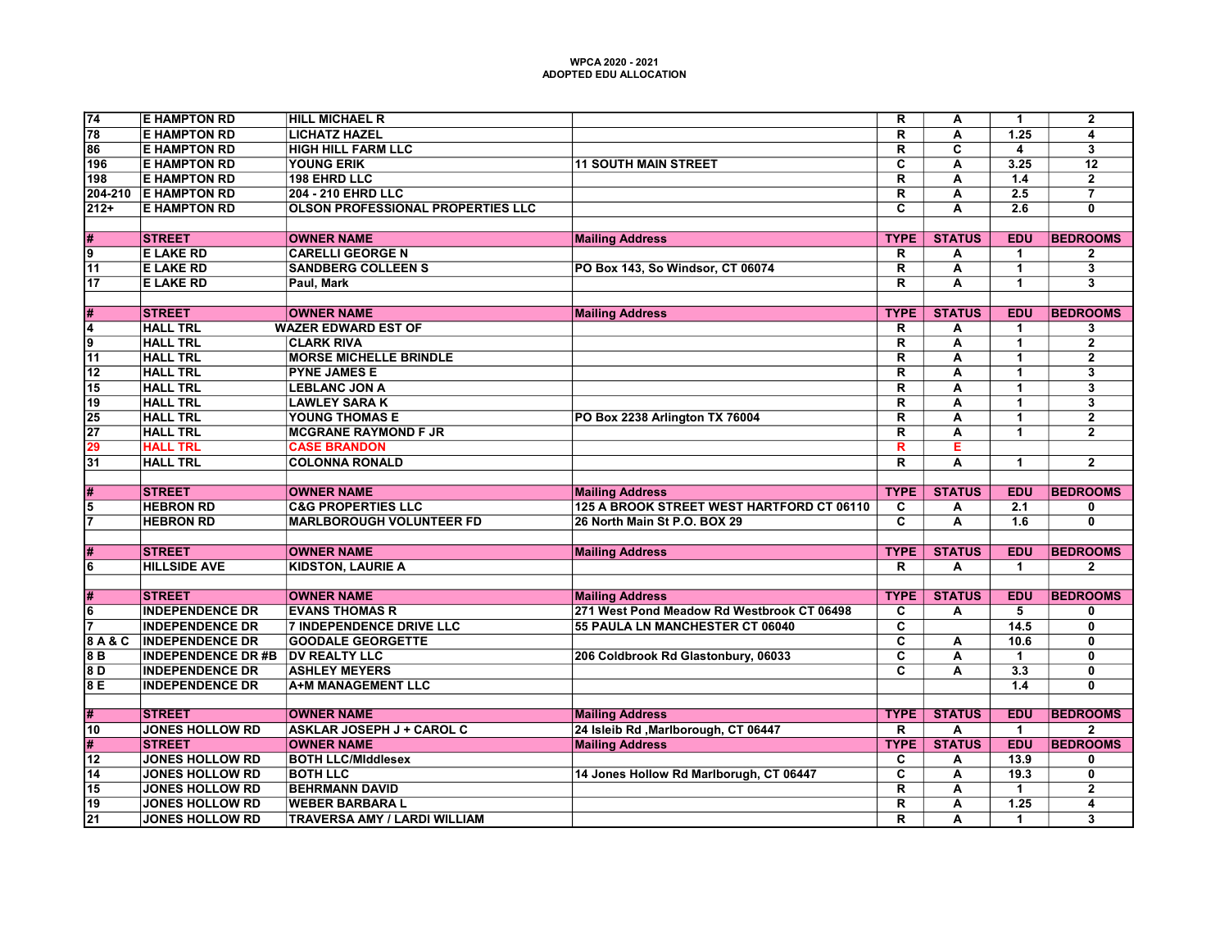| 74                                 | <b>E HAMPTON RD</b>                              | <b>HILL MICHAEL R</b>                                         |                                            | $\overline{\mathsf{R}}$      | Α                       | $\mathbf{1}$            | $\overline{2}$            |
|------------------------------------|--------------------------------------------------|---------------------------------------------------------------|--------------------------------------------|------------------------------|-------------------------|-------------------------|---------------------------|
| $\overline{78}$                    | <b>E HAMPTON RD</b>                              | <b>LICHATZ HAZEL</b>                                          |                                            | $\overline{R}$               | $\overline{\mathsf{A}}$ | 1.25                    | $\overline{4}$            |
| 86                                 | <b>E HAMPTON RD</b>                              | <b>HIGH HILL FARM LLC</b>                                     |                                            | R                            | C                       | $\overline{\mathbf{4}}$ | 3                         |
| 196                                | <b>E HAMPTON RD</b>                              | <b>YOUNG ERIK</b>                                             | <b>11 SOUTH MAIN STREET</b>                | $\overline{\mathbf{c}}$      | A                       | 3.25                    | 12                        |
| 198                                | <b>E HAMPTON RD</b>                              | <b>198 EHRD LLC</b>                                           |                                            | $\overline{\mathsf{R}}$      | А                       | 1.4                     | $\mathbf{2}$              |
| 204-210                            | <b>E HAMPTON RD</b>                              | <b>204 - 210 EHRD LLC</b>                                     |                                            | $\overline{\mathsf{R}}$      | Ā                       | $\overline{2.5}$        | $\overline{\overline{7}}$ |
| $212+$                             | <b>E HAMPTON RD</b>                              | <b>OLSON PROFESSIONAL PROPERTIES LLC</b>                      |                                            | $\overline{\mathbf{c}}$      | A                       | $\overline{2.6}$        | $\overline{0}$            |
|                                    |                                                  |                                                               |                                            |                              |                         |                         |                           |
| #                                  | <b>STREET</b>                                    | <b>OWNER NAME</b>                                             | <b>Mailing Address</b>                     | <b>TYPE</b>                  | <b>STATUS</b>           | <b>EDU</b>              | <b>BEDROOMS</b>           |
| $\overline{9}$                     | <b>E LAKE RD</b>                                 | <b>CARELLI GEORGE N</b>                                       |                                            | R                            | А                       | $\blacktriangleleft$    | $\overline{\mathbf{2}}$   |
| $\overline{11}$                    | <b>E LAKE RD</b>                                 | <b>SANDBERG COLLEEN S</b>                                     | PO Box 143, So Windsor, CT 06074           | $\overline{\mathsf{R}}$      | Ā                       | $\overline{1}$          | $\overline{\mathbf{3}}$   |
| $\overline{17}$                    | <b>E LAKE RD</b>                                 | Paul, Mark                                                    |                                            | $\overline{\mathsf{R}}$      | $\overline{\mathbf{A}}$ | 1                       | $\overline{\mathbf{3}}$   |
|                                    |                                                  |                                                               |                                            |                              |                         |                         |                           |
| #                                  | <b>STREET</b>                                    | <b>OWNER NAME</b>                                             | <b>Mailing Address</b>                     | <b>TYPE</b>                  | <b>STATUS</b>           | <b>EDU</b>              | <b>BEDROOMS</b>           |
| $\overline{4}$                     | <b>HALL TRL</b>                                  | <b>WAZER EDWARD EST OF</b>                                    |                                            | $\mathsf{R}$                 | А                       | $\mathbf{1}$            | 3                         |
| $\overline{9}$                     | <b>HALL TRL</b>                                  | <b>CLARK RIVA</b>                                             |                                            | $\overline{\mathsf{R}}$      | A                       | $\overline{1}$          | $\overline{2}$            |
| $\overline{11}$                    | <b>HALL TRL</b>                                  | <b>MORSE MICHELLE BRINDLE</b>                                 |                                            | $\overline{\mathsf{R}}$      | A                       | $\blacktriangleleft$    | $\overline{2}$            |
| 12                                 | <b>HALL TRL</b>                                  | <b>PYNE JAMES E</b>                                           |                                            | $\overline{\mathsf{R}}$      | A                       | $\overline{1}$          | 3                         |
| $\overline{15}$                    | <b>HALL TRL</b>                                  | <b>LEBLANC JON A</b>                                          |                                            | $\overline{\mathsf{R}}$      | $\overline{\mathsf{A}}$ | $\mathbf{1}$            | $\overline{\mathbf{3}}$   |
| 19                                 | <b>HALL TRL</b>                                  | <b>LAWLEY SARA K</b>                                          |                                            | $\overline{\mathbf{R}}$      | $\overline{\mathsf{A}}$ | $\overline{1}$          | $\overline{\mathbf{3}}$   |
| 25                                 | <b>HALL TRL</b>                                  | YOUNG THOMAS E                                                | PO Box 2238 Arlington TX 76004             | $\overline{R}$               | A                       | $\blacktriangleleft$    | $\mathbf{2}$              |
| $\overline{27}$                    | <b>HALL TRL</b>                                  | <b>MCGRANE RAYMOND F JR</b>                                   |                                            | $\overline{\mathsf{R}}$      | $\overline{\mathsf{A}}$ | $\blacktriangleleft$    | $\overline{2}$            |
| 29                                 | <b>HALL TRL</b>                                  | <b>CASE BRANDON</b>                                           |                                            | R                            | E                       |                         |                           |
| $\overline{31}$                    | <b>HALL TRL</b>                                  | <b>COLONNA RONALD</b>                                         |                                            | $\overline{\mathsf{R}}$      | $\overline{\mathsf{A}}$ | $\blacktriangleleft$    | $\overline{2}$            |
|                                    |                                                  |                                                               |                                            |                              |                         |                         |                           |
| #                                  | <b>STREET</b>                                    | <b>OWNER NAME</b>                                             | <b>Mailing Address</b>                     | <b>TYPE</b>                  | <b>STATUS</b>           | <b>EDU</b>              | <b>BEDROOMS</b>           |
| $\overline{5}$                     | <b>HEBRON RD</b>                                 | <b>C&amp;G PROPERTIES LLC</b>                                 | 125 A BROOK STREET WEST HARTFORD CT 06110  | С                            | А                       | 2.1                     | 0                         |
| $\overline{\mathbf{z}}$            | <b>HEBRON RD</b>                                 | <b>MARLBOROUGH VOLUNTEER FD</b>                               | 26 North Main St P.O. BOX 29               | $\overline{\mathbf{c}}$      | A                       | 1.6                     | 0                         |
|                                    |                                                  |                                                               |                                            |                              |                         |                         |                           |
| #                                  | <b>STREET</b>                                    | <b>OWNER NAME</b>                                             | <b>Mailing Address</b>                     | <b>TYPE</b>                  | <b>STATUS</b>           | <b>EDU</b>              | <b>BEDROOMS</b>           |
| $\overline{\mathbf{6}}$            | <b>HILLSIDE AVE</b>                              | <b>KIDSTON, LAURIE A</b>                                      |                                            | R.                           | A                       | $\blacktriangleleft$    | $\mathbf{2}$              |
|                                    |                                                  |                                                               |                                            |                              |                         |                         |                           |
| #                                  | <b>STREET</b>                                    | <b>OWNER NAME</b>                                             | <b>Mailing Address</b>                     | <b>TYPE</b>                  | <b>STATUS</b>           | <b>EDU</b>              | <b>BEDROOMS</b>           |
| $\overline{6}$                     | <b>INDEPENDENCE DR</b>                           | <b>EVANS THOMAS R</b>                                         | 271 West Pond Meadow Rd Westbrook CT 06498 | C                            | Α                       | 5                       | 0                         |
| $\overline{7}$                     | <b>INDEPENDENCE DR</b>                           | <b>7 INDEPENDENCE DRIVE LLC</b>                               | 55 PAULA LN MANCHESTER CT 06040            | $\overline{\mathbf{c}}$      |                         | 14.5                    | $\mathbf 0$               |
| 8A&C                               | <b>INDEPENDENCE DR</b>                           | <b>GOODALE GEORGETTE</b>                                      |                                            | $\overline{\mathsf{c}}$      | Α                       | 10.6                    | $\overline{\mathbf{0}}$   |
| 8B                                 | <b>INDEPENDENCE DR#B</b>                         | <b>DV REALTY LLC</b>                                          | 206 Coldbrook Rd Glastonbury, 06033        | $\overline{\mathbf{c}}$      | A                       | $\blacktriangleleft$    | $\mathbf 0$               |
| 8 D                                |                                                  |                                                               |                                            |                              |                         |                         |                           |
|                                    | <b>INDEPENDENCE DR</b>                           | <b>ASHLEY MEYERS</b>                                          |                                            | $\overline{\mathbf{c}}$      | A                       | 3.3                     | $\overline{0}$            |
|                                    | <b>INDEPENDENCE DR</b>                           | <b>A+M MANAGEMENT LLC</b>                                     |                                            |                              |                         | 1.4                     | 0                         |
|                                    |                                                  |                                                               |                                            |                              |                         |                         |                           |
| #                                  | <b>STREET</b>                                    | <b>OWNER NAME</b>                                             | <b>Mailing Address</b>                     | <b>TYPE</b>                  | <b>STATUS</b>           | <b>EDU</b>              | <b>BEDROOMS</b>           |
| 10                                 | <b>JONES HOLLOW RD</b>                           | <b>ASKLAR JOSEPH J + CAROL C</b>                              | 24 Isleib Rd , Marlborough, CT 06447       | R                            | A                       | $\blacktriangleleft$    | $\mathbf{2}$              |
| #                                  | <b>STREET</b>                                    | <b>OWNER NAME</b>                                             | <b>Mailing Address</b>                     | <b>TYPE</b>                  | <b>STATUS</b>           | <b>EDU</b>              | <b>BEDROOMS</b>           |
| $\overline{12}$                    | <b>JONES HOLLOW RD</b>                           | <b>BOTH LLC/Middlesex</b>                                     |                                            | C                            | A                       | 13.9                    | 0                         |
| 14                                 | <b>JONES HOLLOW RD</b>                           | <b>BOTH LLC</b>                                               | 14 Jones Hollow Rd Marlborugh, CT 06447    | $\overline{\mathbf{c}}$      | Α                       | 19.3                    | 0                         |
| 8 E<br>15                          | <b>JONES HOLLOW RD</b>                           | <b>BEHRMANN DAVID</b>                                         |                                            | $\overline{\mathbf{R}}$      | A                       | $\blacktriangleleft$    | $\overline{2}$            |
| $\overline{19}$<br>$\overline{21}$ | <b>JONES HOLLOW RD</b><br><b>JONES HOLLOW RD</b> | <b>WEBER BARBARA L</b><br><b>TRAVERSA AMY / LARDI WILLIAM</b> |                                            | $\overline{\mathsf{R}}$<br>R | A<br>A                  | 1.25<br>$\mathbf{1}$    | $\overline{\bf{4}}$<br>3  |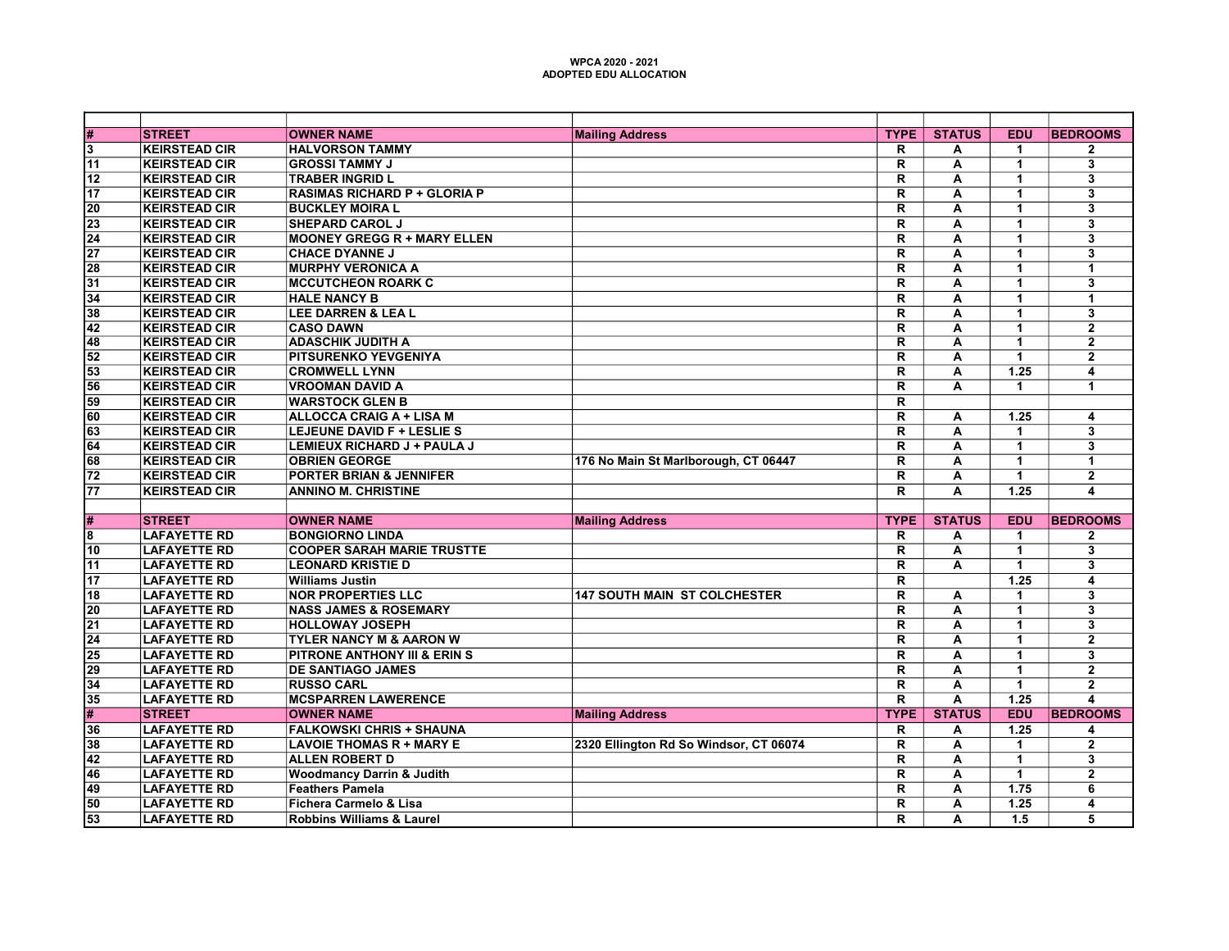| #               | <b>STREET</b>        | <b>OWNER NAME</b>                       | <b>Mailing Address</b>                 | <b>TYPE</b>             | <b>STATUS</b>           | <b>EDU</b>           | <b>BEDROOMS</b>         |
|-----------------|----------------------|-----------------------------------------|----------------------------------------|-------------------------|-------------------------|----------------------|-------------------------|
| 3               | <b>KEIRSTEAD CIR</b> | <b>HALVORSON TAMMY</b>                  |                                        | R                       | А                       | $\blacktriangleleft$ | $\mathbf 2$             |
| 11              | <b>KEIRSTEAD CIR</b> | <b>GROSSI TAMMY J</b>                   |                                        | R                       | А                       | $\mathbf{1}$         | 3                       |
| $\overline{12}$ | <b>KEIRSTEAD CIR</b> | <b>TRABER INGRID L</b>                  |                                        | $\overline{\mathsf{R}}$ | A                       | $\blacktriangleleft$ | $\overline{\mathbf{3}}$ |
| 17              | <b>KEIRSTEAD CIR</b> | <b>RASIMAS RICHARD P + GLORIA P</b>     |                                        | $\overline{\mathsf{R}}$ | А                       | $\mathbf{1}$         | $\overline{\mathbf{3}}$ |
| $\overline{20}$ | <b>KEIRSTEAD CIR</b> | <b>BUCKLEY MOIRA L</b>                  |                                        | $\overline{\mathsf{R}}$ | A                       | $\blacktriangleleft$ | 3                       |
| 23              | <b>KEIRSTEAD CIR</b> | <b>SHEPARD CAROL J</b>                  |                                        | $\overline{\mathsf{R}}$ | A                       | $\mathbf{1}$         | $\overline{\mathbf{3}}$ |
| $\overline{24}$ | <b>KEIRSTEAD CIR</b> | <b>MOONEY GREGG R + MARY ELLEN</b>      |                                        | $\overline{\mathsf{R}}$ | А                       | $\mathbf{1}$         | $\overline{\mathbf{3}}$ |
| $\overline{27}$ | <b>KEIRSTEAD CIR</b> | <b>CHACE DYANNE J</b>                   |                                        | $\overline{\mathsf{R}}$ | A                       | $\blacktriangleleft$ | $\overline{\mathbf{3}}$ |
| 28              | <b>KEIRSTEAD CIR</b> | <b>MURPHY VERONICA A</b>                |                                        | R                       | А                       | $\mathbf 1$          | 1                       |
| $\overline{31}$ | <b>KEIRSTEAD CIR</b> | <b>MCCUTCHEON ROARK C</b>               |                                        | $\overline{\mathbf{R}}$ | A                       | $\overline{1}$       | $\overline{\mathbf{3}}$ |
| $\overline{34}$ | <b>KEIRSTEAD CIR</b> | <b>HALE NANCY B</b>                     |                                        | $\overline{\mathsf{R}}$ | A                       | $\mathbf{1}$         | 1                       |
| $\overline{38}$ | <b>KEIRSTEAD CIR</b> | <b>LEE DARREN &amp; LEA L</b>           |                                        | $\overline{\mathsf{R}}$ | A                       | 1                    | $\overline{\mathbf{3}}$ |
| 42              | <b>KEIRSTEAD CIR</b> | <b>CASO DAWN</b>                        |                                        | $\overline{\mathsf{R}}$ | A                       | $\blacktriangleleft$ | $\overline{2}$          |
| 48              | <b>KEIRSTEAD CIR</b> | <b>ADASCHIK JUDITH A</b>                |                                        | $\overline{\mathsf{R}}$ | A                       | $\overline{1}$       | $\overline{2}$          |
| 52              | <b>KEIRSTEAD CIR</b> | <b>PITSURENKO YEVGENIYA</b>             |                                        | $\overline{\mathsf{R}}$ | A                       | $\blacktriangleleft$ | $\overline{2}$          |
| 53              | <b>KEIRSTEAD CIR</b> | <b>CROMWELL LYNN</b>                    |                                        | $\overline{\mathsf{R}}$ | А                       | 1.25                 | 4                       |
| $\overline{56}$ | <b>KEIRSTEAD CIR</b> | <b>VROOMAN DAVID A</b>                  |                                        | $\overline{\mathsf{R}}$ | $\overline{\mathsf{A}}$ | $\blacktriangleleft$ | $\overline{1}$          |
| $\overline{59}$ | <b>KEIRSTEAD CIR</b> | <b>WARSTOCK GLEN B</b>                  |                                        | $\overline{\mathsf{R}}$ |                         |                      |                         |
| 60              | <b>KEIRSTEAD CIR</b> | <b>ALLOCCA CRAIG A + LISA M</b>         |                                        | $\overline{\mathsf{R}}$ | A                       | 1.25                 | 4                       |
| 63              | <b>KEIRSTEAD CIR</b> | <b>LEJEUNE DAVID F + LESLIE S</b>       |                                        | $\overline{\mathsf{R}}$ | A                       | $\mathbf{1}$         | $\overline{\mathbf{3}}$ |
| 64              | <b>KEIRSTEAD CIR</b> | LEMIEUX RICHARD J + PAULA J             |                                        | $\overline{\mathbf{R}}$ | A                       | $\overline{1}$       | $\overline{\mathbf{3}}$ |
| 68              | <b>KEIRSTEAD CIR</b> | <b>OBRIEN GEORGE</b>                    | 176 No Main St Marlborough, CT 06447   | $\overline{\mathsf{R}}$ | A                       | $\mathbf{1}$         | 1                       |
| $\overline{72}$ | <b>KEIRSTEAD CIR</b> | <b>PORTER BRIAN &amp; JENNIFER</b>      |                                        | $\overline{\mathbf{R}}$ | А                       | $\mathbf{1}$         | $\mathbf{2}$            |
| $\overline{77}$ | <b>KEIRSTEAD CIR</b> | <b>ANNINO M. CHRISTINE</b>              |                                        | $\mathsf{R}$            | A                       | 1.25                 | 4                       |
|                 |                      |                                         |                                        |                         |                         |                      |                         |
| #               | <b>STREET</b>        | <b>OWNER NAME</b>                       | <b>Mailing Address</b>                 | <b>TYPE</b>             | <b>STATUS</b>           | <b>EDU</b>           | <b>BEDROOMS</b>         |
| 8               | <b>LAFAYETTE RD</b>  | <b>BONGIORNO LINDA</b>                  |                                        | R                       | Α                       | $\overline{1}$       | $\overline{2}$          |
| 10              | <b>LAFAYETTE RD</b>  | <b>COOPER SARAH MARIE TRUSTTE</b>       |                                        | $\overline{\mathsf{R}}$ | A                       | $\mathbf{1}$         | $\overline{\mathbf{3}}$ |
| 11              | <b>LAFAYETTE RD</b>  | <b>LEONARD KRISTIE D</b>                |                                        | R                       | А                       | $\mathbf 1$          | 3                       |
| $\overline{17}$ | <b>LAFAYETTE RD</b>  | <b>Williams Justin</b>                  |                                        | $\overline{\mathsf{R}}$ |                         | 1.25                 | $\overline{4}$          |
| 18              | <b>LAFAYETTE RD</b>  | <b>NOR PROPERTIES LLC</b>               | <b>147 SOUTH MAIN ST COLCHESTER</b>    | $\overline{\mathsf{R}}$ | А                       | $\blacktriangleleft$ | $\overline{\mathbf{3}}$ |
| $\overline{20}$ | <b>LAFAYETTE RD</b>  | <b>NASS JAMES &amp; ROSEMARY</b>        |                                        | $\overline{\mathsf{R}}$ | $\overline{\mathsf{A}}$ | $\blacktriangleleft$ | $\overline{\mathbf{3}}$ |
| 21              | <b>LAFAYETTE RD</b>  | <b>HOLLOWAY JOSEPH</b>                  |                                        | $\overline{\mathsf{R}}$ | A                       | $\blacktriangleleft$ | 3                       |
| $\overline{24}$ | <b>LAFAYETTE RD</b>  | <b>TYLER NANCY M &amp; AARON W</b>      |                                        | $\overline{\mathsf{R}}$ | A                       | $\mathbf{1}$         | $\mathbf 2$             |
| $\overline{25}$ | <b>LAFAYETTE RD</b>  | <b>PITRONE ANTHONY III &amp; ERIN S</b> |                                        | $\overline{\mathsf{R}}$ | A                       | $\blacktriangleleft$ | $\overline{\mathbf{3}}$ |
| 29              | <b>LAFAYETTE RD</b>  | <b>DE SANTIAGO JAMES</b>                |                                        | $\overline{\mathsf{R}}$ | A                       | $\blacktriangleleft$ | $\overline{2}$          |
| $\overline{34}$ | <b>LAFAYETTE RD</b>  | <b>RUSSO CARL</b>                       |                                        | $\overline{\mathsf{R}}$ | $\overline{\mathsf{A}}$ | $\overline{1}$       | $\overline{2}$          |
| $\overline{35}$ | <b>LAFAYETTE RD</b>  | <b>MCSPARREN LAWERENCE</b>              |                                        | $\overline{\mathsf{R}}$ | A                       | 1.25                 | $\overline{\mathbf{A}}$ |
| #               | <b>STREET</b>        | <b>OWNER NAME</b>                       | <b>Mailing Address</b>                 | <b>TYPE</b>             | <b>STATUS</b>           | <b>EDU</b>           | <b>BEDROOMS</b>         |
| $\overline{36}$ | <b>LAFAYETTE RD</b>  | <b>FALKOWSKI CHRIS + SHAUNA</b>         |                                        | R                       | А                       | 1.25                 | 4                       |
| 38              | <b>LAFAYETTE RD</b>  | <b>LAVOIE THOMAS R + MARY E</b>         | 2320 Ellington Rd So Windsor, CT 06074 | $\overline{\mathbf{R}}$ | А                       | $\mathbf{1}$         | $\overline{2}$          |
| 42              | <b>LAFAYETTE RD</b>  | <b>ALLEN ROBERT D</b>                   |                                        | $\overline{\mathsf{R}}$ | A                       | $\blacktriangleleft$ | $\overline{\mathbf{3}}$ |
| 46              | <b>LAFAYETTE RD</b>  | <b>Woodmancy Darrin &amp; Judith</b>    |                                        | $\overline{\mathsf{R}}$ | А                       | $\blacktriangleleft$ | $\mathbf{2}$            |
| 49              | <b>LAFAYETTE RD</b>  | <b>Feathers Pamela</b>                  |                                        | R                       | А                       | 1.75                 | 6                       |
| 50              | <b>LAFAYETTE RD</b>  | Fichera Carmelo & Lisa                  |                                        | $\overline{\mathsf{R}}$ | А                       | 1.25                 | 4                       |
| 53              | <b>LAFAYETTE RD</b>  | <b>Robbins Williams &amp; Laurel</b>    |                                        | $\overline{\mathsf{R}}$ | A                       | 1.5                  | 5                       |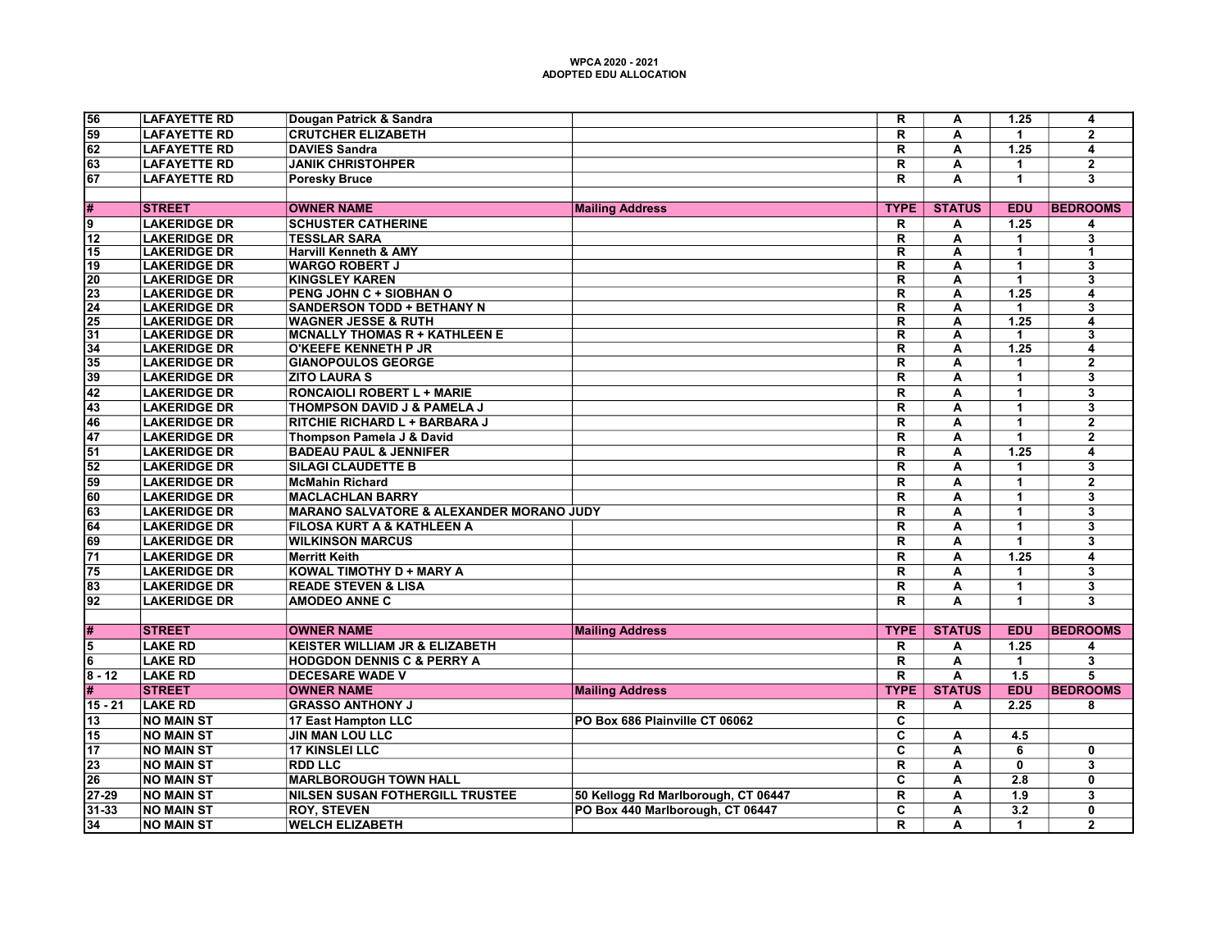| 56<br><b>LAFAYETTE RD</b><br>Dougan Patrick & Sandra<br>$\overline{\mathsf{R}}$<br>1.25<br>$\overline{4}$<br>Α<br>$\overline{2}$<br>59<br><b>LAFAYETTE RD</b><br><b>CRUTCHER ELIZABETH</b><br>R<br>A<br>$\mathbf 1$<br>62<br><b>DAVIES Sandra</b><br>R<br>$\overline{1.25}$<br><b>LAFAYETTE RD</b><br>A<br>4<br>$\overline{2}$<br>63<br><b>JANIK CHRISTOHPER</b><br>R<br>А<br>$\mathbf{1}$<br><b>LAFAYETTE RD</b><br>67<br>$\overline{R}$<br>$\overline{\mathbf{3}}$<br><b>LAFAYETTE RD</b><br>A<br>$\mathbf{1}$<br><b>Poresky Bruce</b><br><b>STATUS</b><br><b>BEDROOMS</b><br>#<br><b>STREET</b><br><b>OWNER NAME</b><br><b>Mailing Address</b><br><b>TYPE</b><br><b>EDU</b><br><b>LAKERIDGE DR</b><br><b>SCHUSTER CATHERINE</b><br>R<br>1.25<br>9<br>A<br>4<br>12<br><b>LAKERIDGE DR</b><br><b>TESSLAR SARA</b><br>R<br>A<br>$\blacktriangleleft$<br>3<br>$\overline{\mathsf{R}}$<br>$\overline{1}$<br>15<br><b>LAKERIDGE DR</b><br><b>Harvill Kenneth &amp; AMY</b><br>A<br>$\blacktriangleleft$<br>19<br><b>LAKERIDGE DR</b><br><b>WARGO ROBERT J</b><br>R<br>A<br>$\overline{\mathbf{3}}$<br>1<br><b>LAKERIDGE DR</b><br><b>KINGSLEY KAREN</b><br>$\overline{\mathsf{R}}$<br>$\overline{\mathbf{3}}$<br>20<br>Α<br>$\mathbf{1}$<br>$\overline{23}$<br><b>LAKERIDGE DR</b><br>PENG JOHN C + SIOBHAN O<br>$\overline{\mathsf{R}}$<br>$\overline{\mathbf{A}}$<br>1.25<br>4<br>$\overline{24}$<br><b>LAKERIDGE DR</b><br><b>SANDERSON TODD + BETHANY N</b><br>$\overline{\mathsf{R}}$<br>Ā<br>3<br>$\overline{1}$<br>$\overline{25}$<br><b>LAKERIDGE DR</b><br><b>WAGNER JESSE &amp; RUTH</b><br>R<br>А<br>1.25<br>$\overline{\mathbf{4}}$<br>$\overline{31}$<br>$\overline{\mathsf{R}}$<br>$\overline{\mathbf{3}}$<br><b>LAKERIDGE DR</b><br><b>MCNALLY THOMAS R + KATHLEEN E</b><br>A<br>$\blacktriangleleft$<br>$\overline{\mathsf{R}}$<br>1.25<br>34<br><b>LAKERIDGE DR</b><br><b>O'KEEFE KENNETH P JR</b><br>A<br>4<br>$\overline{35}$<br><b>LAKERIDGE DR</b><br><b>GIANOPOULOS GEORGE</b><br>R<br>А<br>$\mathbf{2}$<br>1<br>$\overline{39}$<br><b>ZITO LAURA S</b><br>$\overline{\mathsf{R}}$<br>$\overline{\mathsf{A}}$<br>$\overline{1}$<br>$\overline{\mathbf{3}}$<br><b>LAKERIDGE DR</b><br>$\overline{42}$<br>$\mathsf R$<br>3<br><b>LAKERIDGE DR</b><br><b>RONCAIOLI ROBERT L + MARIE</b><br>A<br>$\mathbf{1}$<br>$\overline{\mathbf{3}}$<br>43<br>$\overline{\mathsf{R}}$<br>$\overline{\mathbf{A}}$<br>$\overline{1}$<br><b>LAKERIDGE DR</b><br>THOMPSON DAVID J & PAMELA J<br>46<br>$\overline{\mathsf{R}}$<br>$\overline{2}$<br><b>LAKERIDGE DR</b><br>RITCHIE RICHARD L + BARBARA J<br>A<br>$\mathbf{1}$<br>$\overline{\mathsf{R}}$<br>$\overline{1}$<br>$\overline{2}$<br>47<br><b>LAKERIDGE DR</b><br>Thompson Pamela J & David<br>A<br>51<br><b>BADEAU PAUL &amp; JENNIFER</b><br>$\overline{\mathsf{R}}$<br>1.25<br><b>LAKERIDGE DR</b><br>А<br>4<br>52<br><b>LAKERIDGE DR</b><br><b>SILAGI CLAUDETTE B</b><br>$\mathsf R$<br>A<br>$\overline{1}$<br>$\overline{\mathbf{3}}$<br>$\overline{59}$<br>$\overline{\mathsf{R}}$<br>$\overline{\mathsf{A}}$<br>$\overline{\mathbf{1}}$<br>$\overline{2}$<br><b>LAKERIDGE DR</b><br><b>McMahin Richard</b><br>$\overline{\mathsf{R}}$<br>$\overline{\mathbf{3}}$<br>60<br><b>LAKERIDGE DR</b><br><b>MACLACHLAN BARRY</b><br>A<br>1 |  |
|----------------------------------------------------------------------------------------------------------------------------------------------------------------------------------------------------------------------------------------------------------------------------------------------------------------------------------------------------------------------------------------------------------------------------------------------------------------------------------------------------------------------------------------------------------------------------------------------------------------------------------------------------------------------------------------------------------------------------------------------------------------------------------------------------------------------------------------------------------------------------------------------------------------------------------------------------------------------------------------------------------------------------------------------------------------------------------------------------------------------------------------------------------------------------------------------------------------------------------------------------------------------------------------------------------------------------------------------------------------------------------------------------------------------------------------------------------------------------------------------------------------------------------------------------------------------------------------------------------------------------------------------------------------------------------------------------------------------------------------------------------------------------------------------------------------------------------------------------------------------------------------------------------------------------------------------------------------------------------------------------------------------------------------------------------------------------------------------------------------------------------------------------------------------------------------------------------------------------------------------------------------------------------------------------------------------------------------------------------------------------------------------------------------------------------------------------------------------------------------------------------------------------------------------------------------------------------------------------------------------------------------------------------------------------------------------------------------------------------------------------------------------------------------------------------------------------------------------------------------------------------------------------------------------------------------------------------------------------------------------------------------------------------------------------------------------------------------------------------------------------------------------------------------------------------------------------------------------------------------------------------------------------------------------------|--|
|                                                                                                                                                                                                                                                                                                                                                                                                                                                                                                                                                                                                                                                                                                                                                                                                                                                                                                                                                                                                                                                                                                                                                                                                                                                                                                                                                                                                                                                                                                                                                                                                                                                                                                                                                                                                                                                                                                                                                                                                                                                                                                                                                                                                                                                                                                                                                                                                                                                                                                                                                                                                                                                                                                                                                                                                                                                                                                                                                                                                                                                                                                                                                                                                                                                                                                    |  |
|                                                                                                                                                                                                                                                                                                                                                                                                                                                                                                                                                                                                                                                                                                                                                                                                                                                                                                                                                                                                                                                                                                                                                                                                                                                                                                                                                                                                                                                                                                                                                                                                                                                                                                                                                                                                                                                                                                                                                                                                                                                                                                                                                                                                                                                                                                                                                                                                                                                                                                                                                                                                                                                                                                                                                                                                                                                                                                                                                                                                                                                                                                                                                                                                                                                                                                    |  |
|                                                                                                                                                                                                                                                                                                                                                                                                                                                                                                                                                                                                                                                                                                                                                                                                                                                                                                                                                                                                                                                                                                                                                                                                                                                                                                                                                                                                                                                                                                                                                                                                                                                                                                                                                                                                                                                                                                                                                                                                                                                                                                                                                                                                                                                                                                                                                                                                                                                                                                                                                                                                                                                                                                                                                                                                                                                                                                                                                                                                                                                                                                                                                                                                                                                                                                    |  |
|                                                                                                                                                                                                                                                                                                                                                                                                                                                                                                                                                                                                                                                                                                                                                                                                                                                                                                                                                                                                                                                                                                                                                                                                                                                                                                                                                                                                                                                                                                                                                                                                                                                                                                                                                                                                                                                                                                                                                                                                                                                                                                                                                                                                                                                                                                                                                                                                                                                                                                                                                                                                                                                                                                                                                                                                                                                                                                                                                                                                                                                                                                                                                                                                                                                                                                    |  |
|                                                                                                                                                                                                                                                                                                                                                                                                                                                                                                                                                                                                                                                                                                                                                                                                                                                                                                                                                                                                                                                                                                                                                                                                                                                                                                                                                                                                                                                                                                                                                                                                                                                                                                                                                                                                                                                                                                                                                                                                                                                                                                                                                                                                                                                                                                                                                                                                                                                                                                                                                                                                                                                                                                                                                                                                                                                                                                                                                                                                                                                                                                                                                                                                                                                                                                    |  |
|                                                                                                                                                                                                                                                                                                                                                                                                                                                                                                                                                                                                                                                                                                                                                                                                                                                                                                                                                                                                                                                                                                                                                                                                                                                                                                                                                                                                                                                                                                                                                                                                                                                                                                                                                                                                                                                                                                                                                                                                                                                                                                                                                                                                                                                                                                                                                                                                                                                                                                                                                                                                                                                                                                                                                                                                                                                                                                                                                                                                                                                                                                                                                                                                                                                                                                    |  |
|                                                                                                                                                                                                                                                                                                                                                                                                                                                                                                                                                                                                                                                                                                                                                                                                                                                                                                                                                                                                                                                                                                                                                                                                                                                                                                                                                                                                                                                                                                                                                                                                                                                                                                                                                                                                                                                                                                                                                                                                                                                                                                                                                                                                                                                                                                                                                                                                                                                                                                                                                                                                                                                                                                                                                                                                                                                                                                                                                                                                                                                                                                                                                                                                                                                                                                    |  |
|                                                                                                                                                                                                                                                                                                                                                                                                                                                                                                                                                                                                                                                                                                                                                                                                                                                                                                                                                                                                                                                                                                                                                                                                                                                                                                                                                                                                                                                                                                                                                                                                                                                                                                                                                                                                                                                                                                                                                                                                                                                                                                                                                                                                                                                                                                                                                                                                                                                                                                                                                                                                                                                                                                                                                                                                                                                                                                                                                                                                                                                                                                                                                                                                                                                                                                    |  |
|                                                                                                                                                                                                                                                                                                                                                                                                                                                                                                                                                                                                                                                                                                                                                                                                                                                                                                                                                                                                                                                                                                                                                                                                                                                                                                                                                                                                                                                                                                                                                                                                                                                                                                                                                                                                                                                                                                                                                                                                                                                                                                                                                                                                                                                                                                                                                                                                                                                                                                                                                                                                                                                                                                                                                                                                                                                                                                                                                                                                                                                                                                                                                                                                                                                                                                    |  |
|                                                                                                                                                                                                                                                                                                                                                                                                                                                                                                                                                                                                                                                                                                                                                                                                                                                                                                                                                                                                                                                                                                                                                                                                                                                                                                                                                                                                                                                                                                                                                                                                                                                                                                                                                                                                                                                                                                                                                                                                                                                                                                                                                                                                                                                                                                                                                                                                                                                                                                                                                                                                                                                                                                                                                                                                                                                                                                                                                                                                                                                                                                                                                                                                                                                                                                    |  |
|                                                                                                                                                                                                                                                                                                                                                                                                                                                                                                                                                                                                                                                                                                                                                                                                                                                                                                                                                                                                                                                                                                                                                                                                                                                                                                                                                                                                                                                                                                                                                                                                                                                                                                                                                                                                                                                                                                                                                                                                                                                                                                                                                                                                                                                                                                                                                                                                                                                                                                                                                                                                                                                                                                                                                                                                                                                                                                                                                                                                                                                                                                                                                                                                                                                                                                    |  |
|                                                                                                                                                                                                                                                                                                                                                                                                                                                                                                                                                                                                                                                                                                                                                                                                                                                                                                                                                                                                                                                                                                                                                                                                                                                                                                                                                                                                                                                                                                                                                                                                                                                                                                                                                                                                                                                                                                                                                                                                                                                                                                                                                                                                                                                                                                                                                                                                                                                                                                                                                                                                                                                                                                                                                                                                                                                                                                                                                                                                                                                                                                                                                                                                                                                                                                    |  |
|                                                                                                                                                                                                                                                                                                                                                                                                                                                                                                                                                                                                                                                                                                                                                                                                                                                                                                                                                                                                                                                                                                                                                                                                                                                                                                                                                                                                                                                                                                                                                                                                                                                                                                                                                                                                                                                                                                                                                                                                                                                                                                                                                                                                                                                                                                                                                                                                                                                                                                                                                                                                                                                                                                                                                                                                                                                                                                                                                                                                                                                                                                                                                                                                                                                                                                    |  |
|                                                                                                                                                                                                                                                                                                                                                                                                                                                                                                                                                                                                                                                                                                                                                                                                                                                                                                                                                                                                                                                                                                                                                                                                                                                                                                                                                                                                                                                                                                                                                                                                                                                                                                                                                                                                                                                                                                                                                                                                                                                                                                                                                                                                                                                                                                                                                                                                                                                                                                                                                                                                                                                                                                                                                                                                                                                                                                                                                                                                                                                                                                                                                                                                                                                                                                    |  |
|                                                                                                                                                                                                                                                                                                                                                                                                                                                                                                                                                                                                                                                                                                                                                                                                                                                                                                                                                                                                                                                                                                                                                                                                                                                                                                                                                                                                                                                                                                                                                                                                                                                                                                                                                                                                                                                                                                                                                                                                                                                                                                                                                                                                                                                                                                                                                                                                                                                                                                                                                                                                                                                                                                                                                                                                                                                                                                                                                                                                                                                                                                                                                                                                                                                                                                    |  |
|                                                                                                                                                                                                                                                                                                                                                                                                                                                                                                                                                                                                                                                                                                                                                                                                                                                                                                                                                                                                                                                                                                                                                                                                                                                                                                                                                                                                                                                                                                                                                                                                                                                                                                                                                                                                                                                                                                                                                                                                                                                                                                                                                                                                                                                                                                                                                                                                                                                                                                                                                                                                                                                                                                                                                                                                                                                                                                                                                                                                                                                                                                                                                                                                                                                                                                    |  |
|                                                                                                                                                                                                                                                                                                                                                                                                                                                                                                                                                                                                                                                                                                                                                                                                                                                                                                                                                                                                                                                                                                                                                                                                                                                                                                                                                                                                                                                                                                                                                                                                                                                                                                                                                                                                                                                                                                                                                                                                                                                                                                                                                                                                                                                                                                                                                                                                                                                                                                                                                                                                                                                                                                                                                                                                                                                                                                                                                                                                                                                                                                                                                                                                                                                                                                    |  |
|                                                                                                                                                                                                                                                                                                                                                                                                                                                                                                                                                                                                                                                                                                                                                                                                                                                                                                                                                                                                                                                                                                                                                                                                                                                                                                                                                                                                                                                                                                                                                                                                                                                                                                                                                                                                                                                                                                                                                                                                                                                                                                                                                                                                                                                                                                                                                                                                                                                                                                                                                                                                                                                                                                                                                                                                                                                                                                                                                                                                                                                                                                                                                                                                                                                                                                    |  |
|                                                                                                                                                                                                                                                                                                                                                                                                                                                                                                                                                                                                                                                                                                                                                                                                                                                                                                                                                                                                                                                                                                                                                                                                                                                                                                                                                                                                                                                                                                                                                                                                                                                                                                                                                                                                                                                                                                                                                                                                                                                                                                                                                                                                                                                                                                                                                                                                                                                                                                                                                                                                                                                                                                                                                                                                                                                                                                                                                                                                                                                                                                                                                                                                                                                                                                    |  |
|                                                                                                                                                                                                                                                                                                                                                                                                                                                                                                                                                                                                                                                                                                                                                                                                                                                                                                                                                                                                                                                                                                                                                                                                                                                                                                                                                                                                                                                                                                                                                                                                                                                                                                                                                                                                                                                                                                                                                                                                                                                                                                                                                                                                                                                                                                                                                                                                                                                                                                                                                                                                                                                                                                                                                                                                                                                                                                                                                                                                                                                                                                                                                                                                                                                                                                    |  |
|                                                                                                                                                                                                                                                                                                                                                                                                                                                                                                                                                                                                                                                                                                                                                                                                                                                                                                                                                                                                                                                                                                                                                                                                                                                                                                                                                                                                                                                                                                                                                                                                                                                                                                                                                                                                                                                                                                                                                                                                                                                                                                                                                                                                                                                                                                                                                                                                                                                                                                                                                                                                                                                                                                                                                                                                                                                                                                                                                                                                                                                                                                                                                                                                                                                                                                    |  |
|                                                                                                                                                                                                                                                                                                                                                                                                                                                                                                                                                                                                                                                                                                                                                                                                                                                                                                                                                                                                                                                                                                                                                                                                                                                                                                                                                                                                                                                                                                                                                                                                                                                                                                                                                                                                                                                                                                                                                                                                                                                                                                                                                                                                                                                                                                                                                                                                                                                                                                                                                                                                                                                                                                                                                                                                                                                                                                                                                                                                                                                                                                                                                                                                                                                                                                    |  |
|                                                                                                                                                                                                                                                                                                                                                                                                                                                                                                                                                                                                                                                                                                                                                                                                                                                                                                                                                                                                                                                                                                                                                                                                                                                                                                                                                                                                                                                                                                                                                                                                                                                                                                                                                                                                                                                                                                                                                                                                                                                                                                                                                                                                                                                                                                                                                                                                                                                                                                                                                                                                                                                                                                                                                                                                                                                                                                                                                                                                                                                                                                                                                                                                                                                                                                    |  |
|                                                                                                                                                                                                                                                                                                                                                                                                                                                                                                                                                                                                                                                                                                                                                                                                                                                                                                                                                                                                                                                                                                                                                                                                                                                                                                                                                                                                                                                                                                                                                                                                                                                                                                                                                                                                                                                                                                                                                                                                                                                                                                                                                                                                                                                                                                                                                                                                                                                                                                                                                                                                                                                                                                                                                                                                                                                                                                                                                                                                                                                                                                                                                                                                                                                                                                    |  |
|                                                                                                                                                                                                                                                                                                                                                                                                                                                                                                                                                                                                                                                                                                                                                                                                                                                                                                                                                                                                                                                                                                                                                                                                                                                                                                                                                                                                                                                                                                                                                                                                                                                                                                                                                                                                                                                                                                                                                                                                                                                                                                                                                                                                                                                                                                                                                                                                                                                                                                                                                                                                                                                                                                                                                                                                                                                                                                                                                                                                                                                                                                                                                                                                                                                                                                    |  |
|                                                                                                                                                                                                                                                                                                                                                                                                                                                                                                                                                                                                                                                                                                                                                                                                                                                                                                                                                                                                                                                                                                                                                                                                                                                                                                                                                                                                                                                                                                                                                                                                                                                                                                                                                                                                                                                                                                                                                                                                                                                                                                                                                                                                                                                                                                                                                                                                                                                                                                                                                                                                                                                                                                                                                                                                                                                                                                                                                                                                                                                                                                                                                                                                                                                                                                    |  |
| $\overline{\overline{3}}$<br>$\overline{63}$<br>$\overline{\mathsf{R}}$<br>$\overline{A}$<br>$\overline{1}$<br><b>LAKERIDGE DR</b><br><b>MARANO SALVATORE &amp; ALEXANDER MORANO JUDY</b>                                                                                                                                                                                                                                                                                                                                                                                                                                                                                                                                                                                                                                                                                                                                                                                                                                                                                                                                                                                                                                                                                                                                                                                                                                                                                                                                                                                                                                                                                                                                                                                                                                                                                                                                                                                                                                                                                                                                                                                                                                                                                                                                                                                                                                                                                                                                                                                                                                                                                                                                                                                                                                                                                                                                                                                                                                                                                                                                                                                                                                                                                                          |  |
| 64<br><b>LAKERIDGE DR</b><br>$\overline{\mathsf{R}}$<br>$\overline{\mathbf{3}}$<br><b>FILOSA KURT A &amp; KATHLEEN A</b><br>A<br>$\mathbf{1}$                                                                                                                                                                                                                                                                                                                                                                                                                                                                                                                                                                                                                                                                                                                                                                                                                                                                                                                                                                                                                                                                                                                                                                                                                                                                                                                                                                                                                                                                                                                                                                                                                                                                                                                                                                                                                                                                                                                                                                                                                                                                                                                                                                                                                                                                                                                                                                                                                                                                                                                                                                                                                                                                                                                                                                                                                                                                                                                                                                                                                                                                                                                                                      |  |
| 69<br><b>WILKINSON MARCUS</b><br>$\mathsf{R}$<br>3<br><b>LAKERIDGE DR</b><br>A<br>$\mathbf{1}$                                                                                                                                                                                                                                                                                                                                                                                                                                                                                                                                                                                                                                                                                                                                                                                                                                                                                                                                                                                                                                                                                                                                                                                                                                                                                                                                                                                                                                                                                                                                                                                                                                                                                                                                                                                                                                                                                                                                                                                                                                                                                                                                                                                                                                                                                                                                                                                                                                                                                                                                                                                                                                                                                                                                                                                                                                                                                                                                                                                                                                                                                                                                                                                                     |  |
| $\overline{71}$<br>$\overline{\mathsf{R}}$<br>1.25<br><b>LAKERIDGE DR</b><br><b>Merritt Keith</b><br>A<br>$\overline{\mathbf{4}}$                                                                                                                                                                                                                                                                                                                                                                                                                                                                                                                                                                                                                                                                                                                                                                                                                                                                                                                                                                                                                                                                                                                                                                                                                                                                                                                                                                                                                                                                                                                                                                                                                                                                                                                                                                                                                                                                                                                                                                                                                                                                                                                                                                                                                                                                                                                                                                                                                                                                                                                                                                                                                                                                                                                                                                                                                                                                                                                                                                                                                                                                                                                                                                  |  |
| $\overline{75}$<br><b>KOWAL TIMOTHY D + MARY A</b><br>$\overline{R}$<br>$\overline{3}$<br><b>LAKERIDGE DR</b><br>A<br>$\mathbf{1}$                                                                                                                                                                                                                                                                                                                                                                                                                                                                                                                                                                                                                                                                                                                                                                                                                                                                                                                                                                                                                                                                                                                                                                                                                                                                                                                                                                                                                                                                                                                                                                                                                                                                                                                                                                                                                                                                                                                                                                                                                                                                                                                                                                                                                                                                                                                                                                                                                                                                                                                                                                                                                                                                                                                                                                                                                                                                                                                                                                                                                                                                                                                                                                 |  |
| $\overline{83}$<br>$\overline{\mathsf{R}}$<br><b>LAKERIDGE DR</b><br><b>READE STEVEN &amp; LISA</b><br>A<br>$\mathbf{1}$<br>3                                                                                                                                                                                                                                                                                                                                                                                                                                                                                                                                                                                                                                                                                                                                                                                                                                                                                                                                                                                                                                                                                                                                                                                                                                                                                                                                                                                                                                                                                                                                                                                                                                                                                                                                                                                                                                                                                                                                                                                                                                                                                                                                                                                                                                                                                                                                                                                                                                                                                                                                                                                                                                                                                                                                                                                                                                                                                                                                                                                                                                                                                                                                                                      |  |
| $\overline{\mathbf{3}}$<br>$\overline{92}$<br><b>AMODEO ANNE C</b><br>$\overline{\mathsf{R}}$<br>$\overline{\mathbf{A}}$<br>$\overline{1}$<br><b>LAKERIDGE DR</b>                                                                                                                                                                                                                                                                                                                                                                                                                                                                                                                                                                                                                                                                                                                                                                                                                                                                                                                                                                                                                                                                                                                                                                                                                                                                                                                                                                                                                                                                                                                                                                                                                                                                                                                                                                                                                                                                                                                                                                                                                                                                                                                                                                                                                                                                                                                                                                                                                                                                                                                                                                                                                                                                                                                                                                                                                                                                                                                                                                                                                                                                                                                                  |  |
|                                                                                                                                                                                                                                                                                                                                                                                                                                                                                                                                                                                                                                                                                                                                                                                                                                                                                                                                                                                                                                                                                                                                                                                                                                                                                                                                                                                                                                                                                                                                                                                                                                                                                                                                                                                                                                                                                                                                                                                                                                                                                                                                                                                                                                                                                                                                                                                                                                                                                                                                                                                                                                                                                                                                                                                                                                                                                                                                                                                                                                                                                                                                                                                                                                                                                                    |  |
| <b>STREET</b><br><b>OWNER NAME</b><br><b>Mailing Address</b><br><b>TYPE</b><br><b>STATUS</b><br><b>EDU</b><br><b>BEDROOMS</b><br>#                                                                                                                                                                                                                                                                                                                                                                                                                                                                                                                                                                                                                                                                                                                                                                                                                                                                                                                                                                                                                                                                                                                                                                                                                                                                                                                                                                                                                                                                                                                                                                                                                                                                                                                                                                                                                                                                                                                                                                                                                                                                                                                                                                                                                                                                                                                                                                                                                                                                                                                                                                                                                                                                                                                                                                                                                                                                                                                                                                                                                                                                                                                                                                 |  |
| <b>LAKE RD</b><br><b>KEISTER WILLIAM JR &amp; ELIZABETH</b><br>1.25<br>5<br>R<br>А<br>4                                                                                                                                                                                                                                                                                                                                                                                                                                                                                                                                                                                                                                                                                                                                                                                                                                                                                                                                                                                                                                                                                                                                                                                                                                                                                                                                                                                                                                                                                                                                                                                                                                                                                                                                                                                                                                                                                                                                                                                                                                                                                                                                                                                                                                                                                                                                                                                                                                                                                                                                                                                                                                                                                                                                                                                                                                                                                                                                                                                                                                                                                                                                                                                                            |  |
| <b>LAKE RD</b><br>$\overline{A}$<br>$\overline{\mathbf{3}}$<br><b>HODGDON DENNIS C &amp; PERRY A</b><br>R<br>$\mathbf{1}$<br>6                                                                                                                                                                                                                                                                                                                                                                                                                                                                                                                                                                                                                                                                                                                                                                                                                                                                                                                                                                                                                                                                                                                                                                                                                                                                                                                                                                                                                                                                                                                                                                                                                                                                                                                                                                                                                                                                                                                                                                                                                                                                                                                                                                                                                                                                                                                                                                                                                                                                                                                                                                                                                                                                                                                                                                                                                                                                                                                                                                                                                                                                                                                                                                     |  |
| <b>LAKE RD</b><br>$\overline{\mathsf{R}}$<br>$\overline{\mathsf{A}}$<br>$\overline{1.5}$<br>$\overline{5}$<br>$8 - 12$<br><b>DECESARE WADE V</b>                                                                                                                                                                                                                                                                                                                                                                                                                                                                                                                                                                                                                                                                                                                                                                                                                                                                                                                                                                                                                                                                                                                                                                                                                                                                                                                                                                                                                                                                                                                                                                                                                                                                                                                                                                                                                                                                                                                                                                                                                                                                                                                                                                                                                                                                                                                                                                                                                                                                                                                                                                                                                                                                                                                                                                                                                                                                                                                                                                                                                                                                                                                                                   |  |
| <b>STREET</b><br><b>STATUS</b><br><b>EDU</b><br><b>BEDROOMS</b><br>#<br><b>OWNER NAME</b><br><b>Mailing Address</b><br><b>TYPE</b>                                                                                                                                                                                                                                                                                                                                                                                                                                                                                                                                                                                                                                                                                                                                                                                                                                                                                                                                                                                                                                                                                                                                                                                                                                                                                                                                                                                                                                                                                                                                                                                                                                                                                                                                                                                                                                                                                                                                                                                                                                                                                                                                                                                                                                                                                                                                                                                                                                                                                                                                                                                                                                                                                                                                                                                                                                                                                                                                                                                                                                                                                                                                                                 |  |
| <b>LAKE RD</b><br><b>GRASSO ANTHONY J</b><br>2.25<br>15 - 21<br>R<br>А<br>8                                                                                                                                                                                                                                                                                                                                                                                                                                                                                                                                                                                                                                                                                                                                                                                                                                                                                                                                                                                                                                                                                                                                                                                                                                                                                                                                                                                                                                                                                                                                                                                                                                                                                                                                                                                                                                                                                                                                                                                                                                                                                                                                                                                                                                                                                                                                                                                                                                                                                                                                                                                                                                                                                                                                                                                                                                                                                                                                                                                                                                                                                                                                                                                                                        |  |
| 13<br><b>NO MAIN ST</b><br>17 East Hampton LLC<br>C<br>PO Box 686 Plainville CT 06062                                                                                                                                                                                                                                                                                                                                                                                                                                                                                                                                                                                                                                                                                                                                                                                                                                                                                                                                                                                                                                                                                                                                                                                                                                                                                                                                                                                                                                                                                                                                                                                                                                                                                                                                                                                                                                                                                                                                                                                                                                                                                                                                                                                                                                                                                                                                                                                                                                                                                                                                                                                                                                                                                                                                                                                                                                                                                                                                                                                                                                                                                                                                                                                                              |  |
| <b>JIN MAN LOU LLC</b><br>$\overline{\mathbf{c}}$<br>15<br><b>NO MAIN ST</b><br>4.5<br>A                                                                                                                                                                                                                                                                                                                                                                                                                                                                                                                                                                                                                                                                                                                                                                                                                                                                                                                                                                                                                                                                                                                                                                                                                                                                                                                                                                                                                                                                                                                                                                                                                                                                                                                                                                                                                                                                                                                                                                                                                                                                                                                                                                                                                                                                                                                                                                                                                                                                                                                                                                                                                                                                                                                                                                                                                                                                                                                                                                                                                                                                                                                                                                                                           |  |
| 17<br>$\overline{\mathbf{c}}$<br><b>NO MAIN ST</b><br><b>17 KINSLEI LLC</b><br>А<br>6<br>0                                                                                                                                                                                                                                                                                                                                                                                                                                                                                                                                                                                                                                                                                                                                                                                                                                                                                                                                                                                                                                                                                                                                                                                                                                                                                                                                                                                                                                                                                                                                                                                                                                                                                                                                                                                                                                                                                                                                                                                                                                                                                                                                                                                                                                                                                                                                                                                                                                                                                                                                                                                                                                                                                                                                                                                                                                                                                                                                                                                                                                                                                                                                                                                                         |  |
| $\overline{23}$<br>$\mathsf{R}$<br>$\mathbf{0}$<br>$\overline{\mathbf{3}}$<br><b>NO MAIN ST</b><br><b>RDD LLC</b><br>A                                                                                                                                                                                                                                                                                                                                                                                                                                                                                                                                                                                                                                                                                                                                                                                                                                                                                                                                                                                                                                                                                                                                                                                                                                                                                                                                                                                                                                                                                                                                                                                                                                                                                                                                                                                                                                                                                                                                                                                                                                                                                                                                                                                                                                                                                                                                                                                                                                                                                                                                                                                                                                                                                                                                                                                                                                                                                                                                                                                                                                                                                                                                                                             |  |
| $\overline{26}$<br>$\overline{\mathbf{c}}$<br><b>NO MAIN ST</b><br><b>MARLBOROUGH TOWN HALL</b><br>A<br>2.8<br>$\mathbf 0$                                                                                                                                                                                                                                                                                                                                                                                                                                                                                                                                                                                                                                                                                                                                                                                                                                                                                                                                                                                                                                                                                                                                                                                                                                                                                                                                                                                                                                                                                                                                                                                                                                                                                                                                                                                                                                                                                                                                                                                                                                                                                                                                                                                                                                                                                                                                                                                                                                                                                                                                                                                                                                                                                                                                                                                                                                                                                                                                                                                                                                                                                                                                                                         |  |
| $\overline{\mathsf{R}}$<br>$27 - 29$<br>1.9<br>$\overline{\mathbf{3}}$<br><b>NO MAIN ST</b><br><b>NILSEN SUSAN FOTHERGILL TRUSTEE</b><br>50 Kellogg Rd Marlborough, CT 06447<br>A                                                                                                                                                                                                                                                                                                                                                                                                                                                                                                                                                                                                                                                                                                                                                                                                                                                                                                                                                                                                                                                                                                                                                                                                                                                                                                                                                                                                                                                                                                                                                                                                                                                                                                                                                                                                                                                                                                                                                                                                                                                                                                                                                                                                                                                                                                                                                                                                                                                                                                                                                                                                                                                                                                                                                                                                                                                                                                                                                                                                                                                                                                                  |  |
| $\overline{\mathbf{c}}$<br>$31 - 33$<br><b>NO MAIN ST</b><br><b>ROY, STEVEN</b><br>PO Box 440 Marlborough, CT 06447<br>$\overline{\mathsf{A}}$<br>$\overline{3.2}$<br>$\overline{\mathbf{0}}$                                                                                                                                                                                                                                                                                                                                                                                                                                                                                                                                                                                                                                                                                                                                                                                                                                                                                                                                                                                                                                                                                                                                                                                                                                                                                                                                                                                                                                                                                                                                                                                                                                                                                                                                                                                                                                                                                                                                                                                                                                                                                                                                                                                                                                                                                                                                                                                                                                                                                                                                                                                                                                                                                                                                                                                                                                                                                                                                                                                                                                                                                                      |  |
| $\overline{\mathsf{R}}$<br>$\overline{\mathsf{A}}$<br>$\overline{1}$<br>$\overline{2}$<br>34<br><b>NO MAIN ST</b><br><b>WELCH ELIZABETH</b>                                                                                                                                                                                                                                                                                                                                                                                                                                                                                                                                                                                                                                                                                                                                                                                                                                                                                                                                                                                                                                                                                                                                                                                                                                                                                                                                                                                                                                                                                                                                                                                                                                                                                                                                                                                                                                                                                                                                                                                                                                                                                                                                                                                                                                                                                                                                                                                                                                                                                                                                                                                                                                                                                                                                                                                                                                                                                                                                                                                                                                                                                                                                                        |  |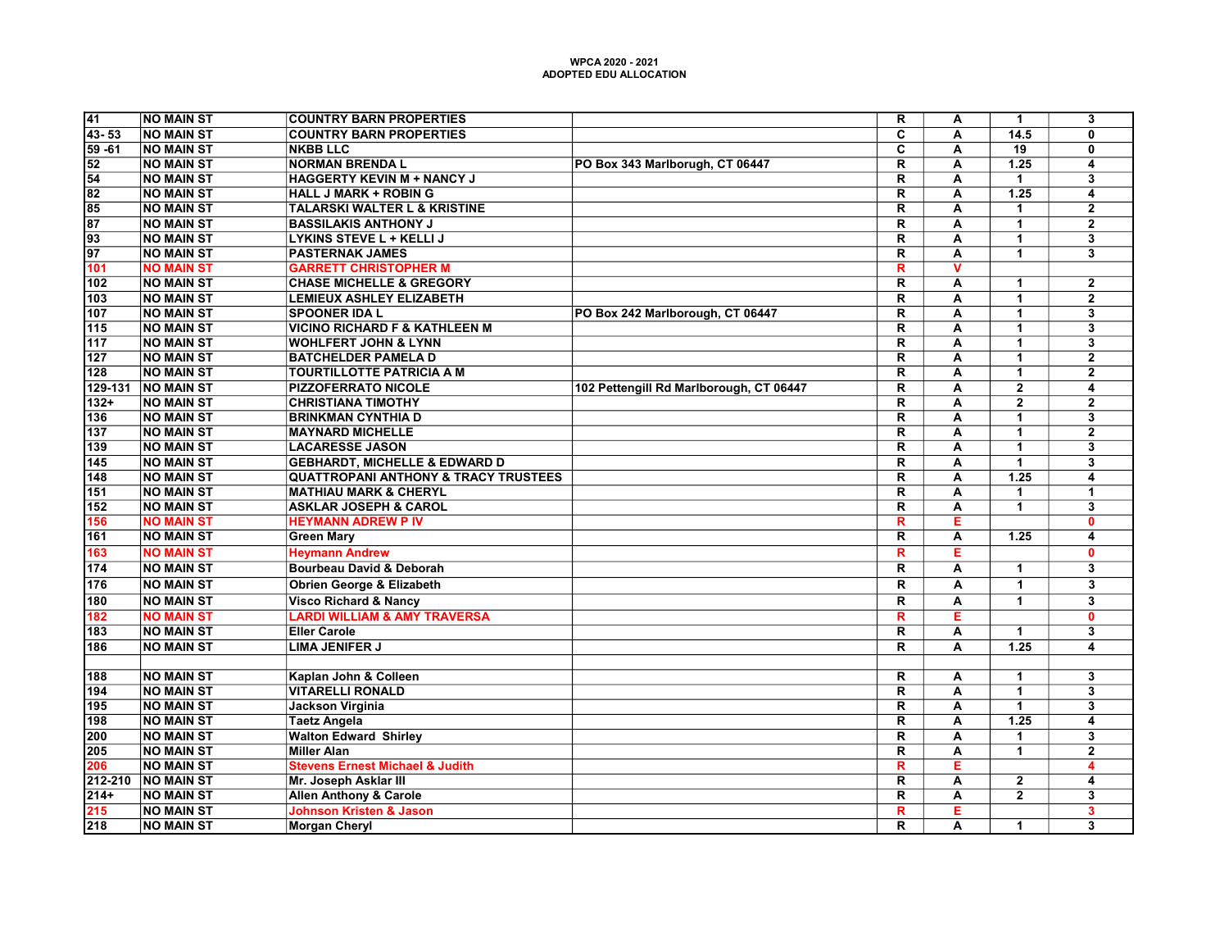| 41                                                                                                           | <b>NO MAIN ST</b>                      | <b>COUNTRY BARN PROPERTIES</b>                      |                                         | $\overline{\mathsf{R}}$                            | Α                       | $\mathbf{1}$                           | $\overline{\mathbf{3}}$ |
|--------------------------------------------------------------------------------------------------------------|----------------------------------------|-----------------------------------------------------|-----------------------------------------|----------------------------------------------------|-------------------------|----------------------------------------|-------------------------|
| $43 - 53$                                                                                                    | <b>NO MAIN ST</b>                      | <b>COUNTRY BARN PROPERTIES</b>                      |                                         | $\overline{\mathbf{c}}$                            | A                       | 14.5                                   | 0                       |
|                                                                                                              | <b>NO MAIN ST</b>                      | <b>NKBB LLC</b>                                     |                                         | C                                                  | A                       | $\overline{19}$                        | 0                       |
|                                                                                                              | <b>NO MAIN ST</b>                      | <b>NORMAN BRENDA L</b>                              | PO Box 343 Marlborugh, CT 06447         | $\overline{\mathsf{R}}$                            | A                       | 1.25                                   | 4                       |
|                                                                                                              | <b>NO MAIN ST</b>                      | <b>HAGGERTY KEVIN M + NANCY J</b>                   |                                         | $\overline{\mathbf{R}}$                            | A                       | $\blacktriangleleft$                   | $\overline{\mathbf{3}}$ |
|                                                                                                              | <b>NO MAIN ST</b>                      | <b>HALL J MARK + ROBIN G</b>                        |                                         | $\overline{\mathsf{R}}$                            | $\overline{\mathbf{A}}$ | 1.25                                   | 4                       |
| $\begin{array}{r} 59 - 61 \\ 52 \\ 54 \\ 82 \\ \hline 85 \\ 87 \\ \hline 93 \\ 97 \\ \hline 101 \end{array}$ | <b>NO MAIN ST</b>                      | <b>TALARSKI WALTER L &amp; KRISTINE</b>             |                                         | R                                                  | A                       | $\mathbf{1}$                           | $\mathbf 2$             |
|                                                                                                              | <b>NO MAIN ST</b>                      | <b>BASSILAKIS ANTHONY J</b>                         |                                         | $\mathbf R$                                        | A                       | $\mathbf{1}$                           | $\overline{\mathbf{2}}$ |
|                                                                                                              | <b>NO MAIN ST</b>                      | <b>LYKINS STEVE L + KELLI J</b>                     |                                         | $\overline{\mathsf{R}}$                            | A                       | $\mathbf{1}$                           | 3                       |
|                                                                                                              | <b>NO MAIN ST</b>                      | <b>PASTERNAK JAMES</b>                              |                                         | $\overline{\mathbf{R}}$                            | A                       | $\blacktriangleleft$                   | $\overline{\mathbf{3}}$ |
|                                                                                                              | <b>NO MAIN ST</b>                      | <b>GARRETT CHRISTOPHER M</b>                        |                                         | R                                                  | $\overline{\mathsf{v}}$ |                                        |                         |
| 102                                                                                                          | <b>NO MAIN ST</b>                      | <b>CHASE MICHELLE &amp; GREGORY</b>                 |                                         | $\overline{\mathsf{R}}$                            | A                       | 1                                      | $\overline{2}$          |
| 103                                                                                                          | <b>NO MAIN ST</b>                      | LEMIEUX ASHLEY ELIZABETH                            |                                         | $\mathbf R$                                        | A                       | $\mathbf{1}$                           | $\overline{\mathbf{2}}$ |
| 107                                                                                                          | <b>NO MAIN ST</b>                      | <b>SPOONER IDA L</b>                                | PO Box 242 Marlborough, CT 06447        | $\mathsf{R}$                                       | A                       | $\mathbf{1}$                           | 3                       |
| $115$                                                                                                        | <b>NO MAIN ST</b>                      | <b>VICINO RICHARD F &amp; KATHLEEN M</b>            |                                         | $\overline{\mathsf{R}}$                            | A                       | $\mathbf{1}$                           | $\overline{\mathbf{3}}$ |
| 117                                                                                                          | <b>NO MAIN ST</b>                      | <b>WOHLFERT JOHN &amp; LYNN</b>                     |                                         | $\overline{\mathsf{R}}$                            | A                       | $\mathbf{1}$                           | 3                       |
| 127                                                                                                          | <b>NO MAIN ST</b>                      | <b>BATCHELDER PAMELA D</b>                          |                                         | $\overline{\mathsf{R}}$                            | $\overline{A}$          | $\blacktriangleleft$                   | $\overline{2}$          |
| 128                                                                                                          | <b>NO MAIN ST</b>                      | TOURTILLOTTE PATRICIA A M                           |                                         | $\mathbf R$                                        | A                       | $\blacktriangleleft$                   | $\overline{2}$          |
| 129-131                                                                                                      | <b>NO MAIN ST</b>                      | <b>PIZZOFERRATO NICOLE</b>                          | 102 Pettengill Rd Marlborough, CT 06447 | $\overline{\mathsf{R}}$                            | $\overline{A}$          | $\overline{2}$                         | $\overline{4}$          |
| $132+$                                                                                                       | <b>NO MAIN ST</b>                      | <b>CHRISTIANA TIMOTHY</b>                           |                                         | $\overline{\mathbf{R}}$                            | A                       | $\overline{2}$                         | $\overline{2}$          |
| 136                                                                                                          | <b>NO MAIN ST</b>                      | <b>BRINKMAN CYNTHIA D</b>                           |                                         | $\overline{\mathsf{R}}$                            | A                       | $\mathbf{1}$                           | 3                       |
| 137                                                                                                          | <b>NO MAIN ST</b>                      | <b>MAYNARD MICHELLE</b>                             |                                         | $\overline{\mathsf{R}}$                            | A                       | $\mathbf{1}$                           | $\overline{2}$          |
| 139                                                                                                          | <b>NO MAIN ST</b>                      | <b>LACARESSE JASON</b>                              |                                         | $\overline{\mathsf{R}}$                            | A                       | $\overline{1}$                         | $\overline{\mathbf{3}}$ |
| 145                                                                                                          | <b>NO MAIN ST</b>                      | <b>GEBHARDT, MICHELLE &amp; EDWARD D</b>            |                                         | $\overline{\mathsf{R}}$                            | $\overline{\mathbf{A}}$ | $\overline{1}$                         | $\overline{\mathbf{3}}$ |
| 148                                                                                                          | <b>NO MAIN ST</b>                      | <b>QUATTROPANI ANTHONY &amp; TRACY TRUSTEES</b>     |                                         | $\overline{\mathbf{R}}$                            | $\overline{\mathbf{A}}$ | $\overline{1.25}$                      | 4                       |
| 151                                                                                                          | <b>NO MAIN ST</b>                      | <b>MATHIAU MARK &amp; CHERYL</b>                    |                                         | $\overline{\mathsf{R}}$                            | $\overline{A}$          | 1                                      | $\overline{1}$          |
| 152                                                                                                          | <b>NO MAIN ST</b>                      | <b>ASKLAR JOSEPH &amp; CAROL</b>                    |                                         | $\overline{\mathsf{R}}$                            | A                       | $\blacktriangleleft$                   | $\overline{\mathbf{3}}$ |
| 156                                                                                                          | <b>NO MAIN ST</b>                      | <b>HEYMANN ADREW P IV</b>                           |                                         | $\overline{\mathbf{R}}$                            | Е                       |                                        | $\mathbf{0}$            |
| 161                                                                                                          | <b>NO MAIN ST</b>                      | <b>Green Mary</b>                                   |                                         | R                                                  | A                       | 1.25                                   | 4                       |
| 163                                                                                                          | <b>NO MAIN ST</b>                      | <b>Heymann Andrew</b>                               |                                         | $\overline{\mathsf{R}}$                            | Έ                       |                                        | $\mathbf{0}$            |
| 174                                                                                                          | <b>NO MAIN ST</b>                      | <b>Bourbeau David &amp; Deborah</b>                 |                                         | $\overline{\mathsf{R}}$                            | $\overline{A}$          | $\overline{\mathbf{1}}$                | $\overline{\mathbf{3}}$ |
| 176                                                                                                          | <b>NO MAIN ST</b>                      | <b>Obrien George &amp; Elizabeth</b>                |                                         | $\mathsf{R}$                                       | A                       | $\mathbf{1}$                           | 3                       |
| 180                                                                                                          | <b>NO MAIN ST</b>                      | <b>Visco Richard &amp; Nancy</b>                    |                                         | $\overline{\mathsf{R}}$                            | $\overline{A}$          | $\overline{1}$                         | $\overline{\mathbf{3}}$ |
| 182                                                                                                          | <b>NO MAIN ST</b>                      | <b>LARDI WILLIAM &amp; AMY TRAVERSA</b>             |                                         | $\overline{\mathbf{R}}$                            | Ε                       |                                        | $\overline{0}$          |
| 183                                                                                                          | <b>NO MAIN ST</b>                      | <b>Eller Carole</b>                                 |                                         | $\overline{\mathsf{R}}$                            | $\overline{A}$          | $\mathbf{1}$                           | $\overline{\mathbf{3}}$ |
| 186                                                                                                          | <b>NO MAIN ST</b>                      | <b>LIMA JENIFER J</b>                               |                                         |                                                    | $\overline{\mathbf{A}}$ | 1.25                                   | $\overline{4}$          |
|                                                                                                              |                                        |                                                     |                                         | $\overline{\mathbf{R}}$                            |                         |                                        |                         |
| 188                                                                                                          | <b>NO MAIN ST</b>                      | Kaplan John & Colleen                               |                                         | $\overline{\mathsf{R}}$                            | A                       | $\mathbf{1}$                           | $\overline{\mathbf{3}}$ |
| 194                                                                                                          | <b>NO MAIN ST</b>                      | <b>VITARELLI RONALD</b>                             |                                         | $\overline{\mathsf{R}}$                            | A                       | $\mathbf{1}$                           | $\overline{\mathbf{3}}$ |
| 195                                                                                                          | <b>NO MAIN ST</b>                      | <b>Jackson Virginia</b>                             |                                         | $\overline{\mathsf{R}}$                            | $\overline{A}$          | $\overline{1}$                         | $\overline{3}$          |
| 198                                                                                                          |                                        |                                                     |                                         |                                                    | $\overline{A}$          | 1.25                                   | $\overline{4}$          |
|                                                                                                              | <b>NO MAIN ST</b><br><b>NO MAIN ST</b> | <b>Taetz Angela</b><br><b>Walton Edward Shirley</b> |                                         | $\overline{\mathsf{R}}$<br>$\overline{\mathsf{R}}$ |                         |                                        | $\overline{\mathbf{3}}$ |
| 200                                                                                                          |                                        |                                                     |                                         |                                                    | $\overline{A}$          | $\blacktriangleleft$<br>$\overline{1}$ |                         |
| $\frac{205}{206}$                                                                                            | <b>NO MAIN ST</b>                      | <b>Miller Alan</b>                                  |                                         | $\overline{\mathsf{R}}$                            | $\overline{A}$          |                                        | $\overline{2}$          |
|                                                                                                              | <b>NO MAIN ST</b>                      | <b>Stevens Ernest Michael &amp; Judith</b>          |                                         | $\overline{\mathbf{R}}$                            | Έ                       |                                        | 4                       |
| $\frac{212-210}{214+}$                                                                                       | <b>NO MAIN ST</b>                      | Mr. Joseph Asklar III                               |                                         | $\overline{\mathsf{R}}$                            | A                       | $\overline{2}$                         | 4                       |
|                                                                                                              | <b>NO MAIN ST</b>                      | <b>Allen Anthony &amp; Carole</b>                   |                                         | $\overline{\mathsf{R}}$                            | $\overline{A}$          | $\overline{2}$                         | $\overline{\mathbf{3}}$ |
| $\frac{215}{218}$                                                                                            | <b>NO MAIN ST</b>                      | <b>Johnson Kristen &amp; Jason</b>                  |                                         | $\overline{\mathbf{R}}$                            | Е                       |                                        | $\overline{\mathbf{3}}$ |
|                                                                                                              | <b>NO MAIN ST</b>                      | <b>Morgan Cheryl</b>                                |                                         | $\overline{\mathsf{R}}$                            | $\overline{\mathsf{A}}$ | $\mathbf 1$                            | $\overline{\mathbf{3}}$ |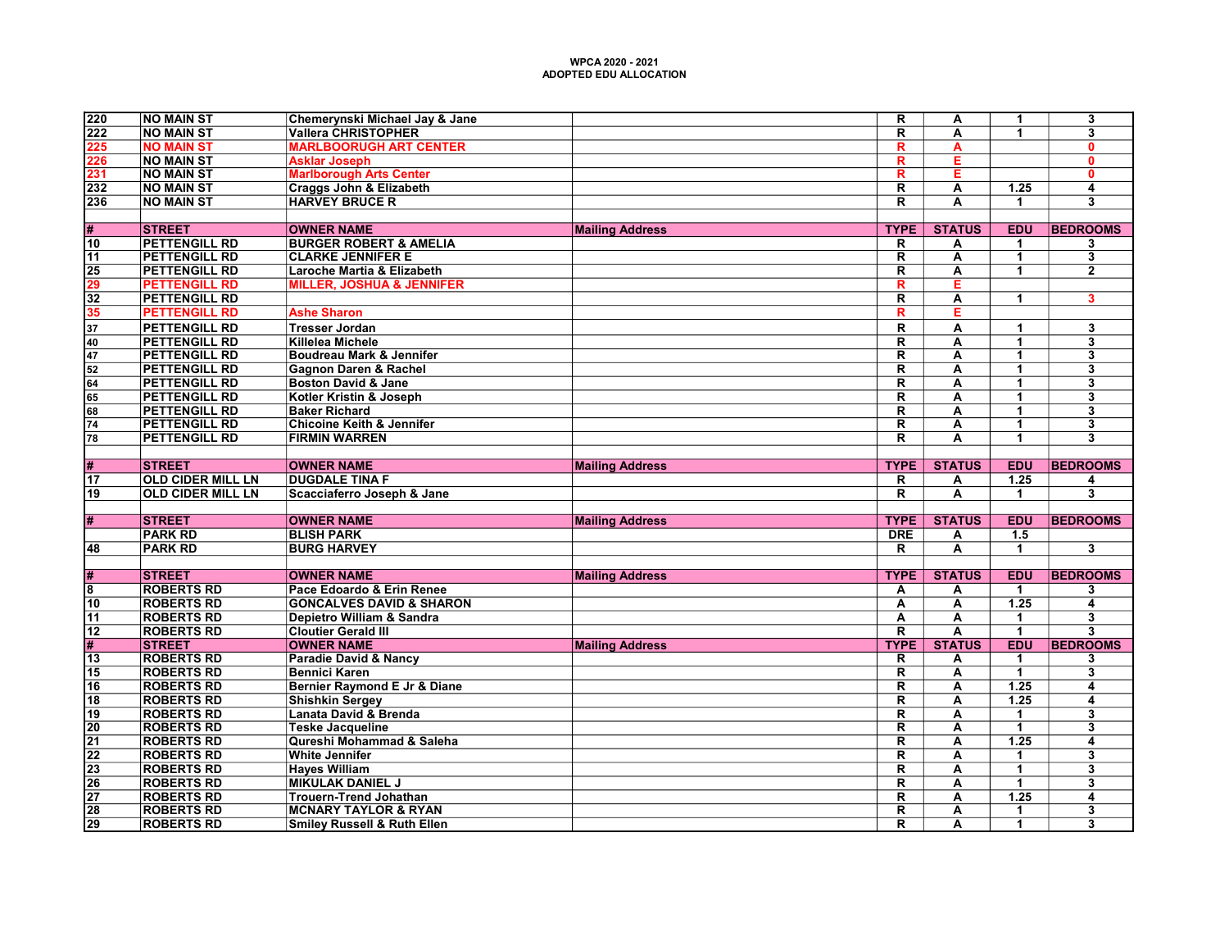|                                          |                                        |                                                                           |                        | $\overline{\mathsf{R}}$ |                         |                      |                         |
|------------------------------------------|----------------------------------------|---------------------------------------------------------------------------|------------------------|-------------------------|-------------------------|----------------------|-------------------------|
| 220                                      | <b>NO MAIN ST</b>                      | Chemerynski Michael Jay & Jane                                            |                        |                         | $\overline{\mathsf{A}}$ | $\mathbf 1$          | $\overline{\mathbf{3}}$ |
| $\overline{222}$                         | <b>NO MAIN ST</b>                      | <b>Vallera CHRISTOPHER</b>                                                |                        | R                       | А                       | 1                    | 3                       |
| 225                                      | <b>NO MAIN ST</b>                      | <b>MARLBOORUGH ART CENTER</b>                                             |                        | R.                      | A                       |                      | $\mathbf{0}$            |
| 226                                      | <b>NO MAIN ST</b>                      | <b>Asklar Joseph</b>                                                      |                        | R                       | Е                       |                      | $\mathbf{0}$            |
| 231                                      | <b>NO MAIN ST</b>                      | <b>Marlborough Arts Center</b>                                            |                        | R                       | E                       |                      | 0                       |
| 232                                      | <b>NO MAIN ST</b>                      | Craggs John & Elizabeth                                                   |                        | R                       | А                       | 1.25                 | 4                       |
| 236                                      | <b>NO MAIN ST</b>                      | <b>HARVEY BRUCE R</b>                                                     |                        | R.                      | А                       | $\mathbf 1$          | $\overline{\mathbf{3}}$ |
|                                          |                                        |                                                                           |                        |                         |                         |                      |                         |
| #                                        | <b>STREET</b>                          | <b>OWNER NAME</b>                                                         | <b>Mailing Address</b> | <b>TYPE</b>             | <b>STATUS</b>           | <b>EDU</b>           | <b>BEDROOMS</b>         |
| 10                                       | <b>PETTENGILL RD</b>                   | <b>BURGER ROBERT &amp; AMELIA</b>                                         |                        | R                       | Α                       | $\blacktriangleleft$ | 3                       |
| $\overline{11}$                          | <b>PETTENGILL RD</b>                   | <b>CLARKE JENNIFER E</b>                                                  |                        | $\overline{\mathsf{R}}$ | A                       | $\mathbf{1}$         | $\overline{\mathbf{3}}$ |
| 25                                       | <b>PETTENGILL RD</b>                   | Laroche Martia & Elizabeth                                                |                        | R.                      | A                       | $\blacktriangleleft$ | $\mathbf{2}$            |
| 29                                       | <b>PETTENGILL RD</b>                   | <b>MILLER, JOSHUA &amp; JENNIFER</b>                                      |                        | R                       | Е                       |                      |                         |
| $\overline{32}$                          | <b>PETTENGILL RD</b>                   |                                                                           |                        | $\overline{\mathsf{R}}$ | $\overline{\mathbf{A}}$ | $\overline{1}$       | $\overline{\mathbf{3}}$ |
|                                          |                                        |                                                                           |                        |                         |                         |                      |                         |
| 35                                       | <b>PETTENGILL RD</b>                   | <b>Ashe Sharon</b>                                                        |                        | R                       | E                       |                      |                         |
| 37                                       | <b>PETTENGILL RD</b>                   | <b>Tresser Jordan</b>                                                     |                        | R                       | A                       | $\mathbf{1}$         | 3                       |
| 40                                       | <b>PETTENGILL RD</b>                   | <b>Killelea Michele</b>                                                   |                        | R                       | A                       | $\mathbf 1$          | 3                       |
| 47                                       | <b>PETTENGILL RD</b>                   | Boudreau Mark & Jennifer                                                  |                        | R                       | A                       | $\blacktriangleleft$ | 3                       |
| 52                                       | <b>PETTENGILL RD</b>                   | <b>Gagnon Daren &amp; Rachel</b>                                          |                        | R                       | А                       | $\blacktriangleleft$ | 3                       |
| 64                                       | <b>PETTENGILL RD</b>                   | <b>Boston David &amp; Jane</b>                                            |                        | $\overline{\mathsf{R}}$ | A                       | $\overline{1}$       | 3                       |
| 65                                       | <b>PETTENGILL RD</b>                   | Kotler Kristin & Joseph                                                   |                        | $\overline{\mathsf{R}}$ | $\overline{\mathbf{A}}$ | $\mathbf{1}$         | $\overline{\mathbf{3}}$ |
| 68                                       | <b>PETTENGILL RD</b>                   | <b>Baker Richard</b>                                                      |                        | $\overline{\mathsf{R}}$ | A                       | $\mathbf{1}$         | 3                       |
| 74                                       | <b>PETTENGILL RD</b>                   | Chicoine Keith & Jennifer                                                 |                        | R                       | A                       | $\overline{1}$       | 3                       |
| 78                                       | <b>PETTENGILL RD</b>                   | <b>FIRMIN WARREN</b>                                                      |                        | R                       | A                       | $\blacktriangleleft$ | $\overline{\mathbf{3}}$ |
|                                          |                                        |                                                                           |                        |                         |                         |                      |                         |
| #                                        | <b>STREET</b>                          | <b>OWNER NAME</b>                                                         | <b>Mailing Address</b> | <b>TYPE</b>             | <b>STATUS</b>           | <b>EDU</b>           | <b>BEDROOMS</b>         |
| $\overline{17}$                          | <b>OLD CIDER MILL LN</b>               | <b>DUGDALE TINA F</b>                                                     |                        | R                       | Α                       | 1.25                 | 4                       |
| 19                                       | <b>OLD CIDER MILL LN</b>               | Scacciaferro Joseph & Jane                                                |                        | $\overline{\mathsf{R}}$ | Ā                       | $\blacktriangleleft$ | $\overline{\mathbf{3}}$ |
|                                          |                                        |                                                                           |                        |                         |                         |                      |                         |
| #                                        | <b>STREET</b>                          | <b>OWNER NAME</b>                                                         | <b>Mailing Address</b> | <b>TYPE</b>             | <b>STATUS</b>           | <b>EDU</b>           | <b>BEDROOMS</b>         |
|                                          | <b>PARK RD</b>                         | <b>BLISH PARK</b>                                                         |                        | <b>DRE</b>              | A                       | 1.5                  |                         |
| 48                                       | <b>PARK RD</b>                         | <b>BURG HARVEY</b>                                                        |                        | R                       | Ā                       | $\overline{1}$       | $\overline{\mathbf{3}}$ |
|                                          |                                        |                                                                           |                        |                         |                         |                      |                         |
| #                                        | <b>STREET</b>                          | <b>OWNER NAME</b>                                                         |                        | <b>TYPE</b>             | <b>STATUS</b>           | <b>EDU</b>           | <b>BEDROOMS</b>         |
|                                          | <b>ROBERTS RD</b>                      | Pace Edoardo & Erin Renee                                                 | <b>Mailing Address</b> |                         |                         |                      |                         |
| 8                                        |                                        |                                                                           |                        | A                       | А                       | $\mathbf{1}$         | 3                       |
| 10                                       | <b>ROBERTS RD</b>                      | <b>GONCALVES DAVID &amp; SHARON</b>                                       |                        | А                       | А                       | $\overline{1.25}$    | 4                       |
| 11                                       | <b>ROBERTS RD</b>                      | Depietro William & Sandra                                                 |                        | А                       | $\overline{\mathbf{A}}$ | $\mathbf{1}$         | $\overline{\mathbf{3}}$ |
| $\overline{12}$                          | <b>ROBERTS RD</b>                      | <b>Cloutier Gerald III</b>                                                |                        | $\overline{\mathsf{R}}$ | A                       | $\overline{1}$       | $\overline{\mathbf{3}}$ |
| #                                        | <b>STREET</b>                          | <b>OWNER NAME</b>                                                         | <b>Mailing Address</b> | <b>TYPE</b>             | <b>STATUS</b>           | <b>EDU</b>           | <b>BEDROOMS</b>         |
| 13                                       | <b>ROBERTS RD</b>                      | Paradie David & Nancy                                                     |                        | R                       | А                       | $\mathbf{1}$         | 3                       |
| $\overline{15}$                          | <b>ROBERTS RD</b>                      | <b>Bennici Karen</b>                                                      |                        | $\overline{\mathsf{R}}$ | A                       | $\overline{1}$       | 3                       |
| 16                                       | <b>ROBERTS RD</b>                      | <b>Bernier Raymond E Jr &amp; Diane</b>                                   |                        | $\overline{\mathsf{R}}$ | A                       | $1.25$               | $\overline{\mathbf{4}}$ |
| $\overline{18}$                          | <b>ROBERTS RD</b>                      | <b>Shishkin Sergey</b>                                                    |                        | $\overline{\mathsf{R}}$ | A                       | 1.25                 | 4                       |
| 19                                       | <b>ROBERTS RD</b>                      | Lanata David & Brenda                                                     |                        | $\overline{\mathsf{R}}$ | A                       | $\mathbf{1}$         | 3                       |
| $\overline{20}$                          | <b>ROBERTS RD</b>                      | <b>Teske Jacqueline</b>                                                   |                        | R                       | A                       | $\overline{1}$       | 3                       |
| $\overline{21}$                          | <b>ROBERTS RD</b>                      | Qureshi Mohammad & Saleha                                                 |                        | R                       | A                       | 1.25                 | 4                       |
| 22                                       |                                        |                                                                           |                        |                         |                         |                      |                         |
|                                          | <b>ROBERTS RD</b>                      | <b>White Jennifer</b>                                                     |                        | R                       | А                       | $\blacktriangleleft$ | 3                       |
|                                          | <b>ROBERTS RD</b>                      | <b>Hayes William</b>                                                      |                        | $\overline{\mathsf{R}}$ | A                       | $\overline{1}$       | $\overline{\mathbf{3}}$ |
|                                          |                                        |                                                                           |                        | $\overline{\mathsf{R}}$ |                         | $\mathbf{1}$         | $\overline{\mathbf{3}}$ |
| $\overline{26}$                          | <b>ROBERTS RD</b>                      | <b>MIKULAK DANIEL J</b>                                                   |                        |                         | A                       |                      |                         |
| 27                                       | <b>ROBERTS RD</b>                      | <b>Trouern-Trend Johathan</b>                                             |                        | R                       | А                       | 1.25                 | 4                       |
| $\overline{23}$<br>28<br>$\overline{29}$ | <b>ROBERTS RD</b><br><b>ROBERTS RD</b> | <b>MCNARY TAYLOR &amp; RYAN</b><br><b>Smiley Russell &amp; Ruth Ellen</b> |                        | R<br>R.                 | А<br>А                  | 1<br>$\mathbf 1$     | 3<br>3                  |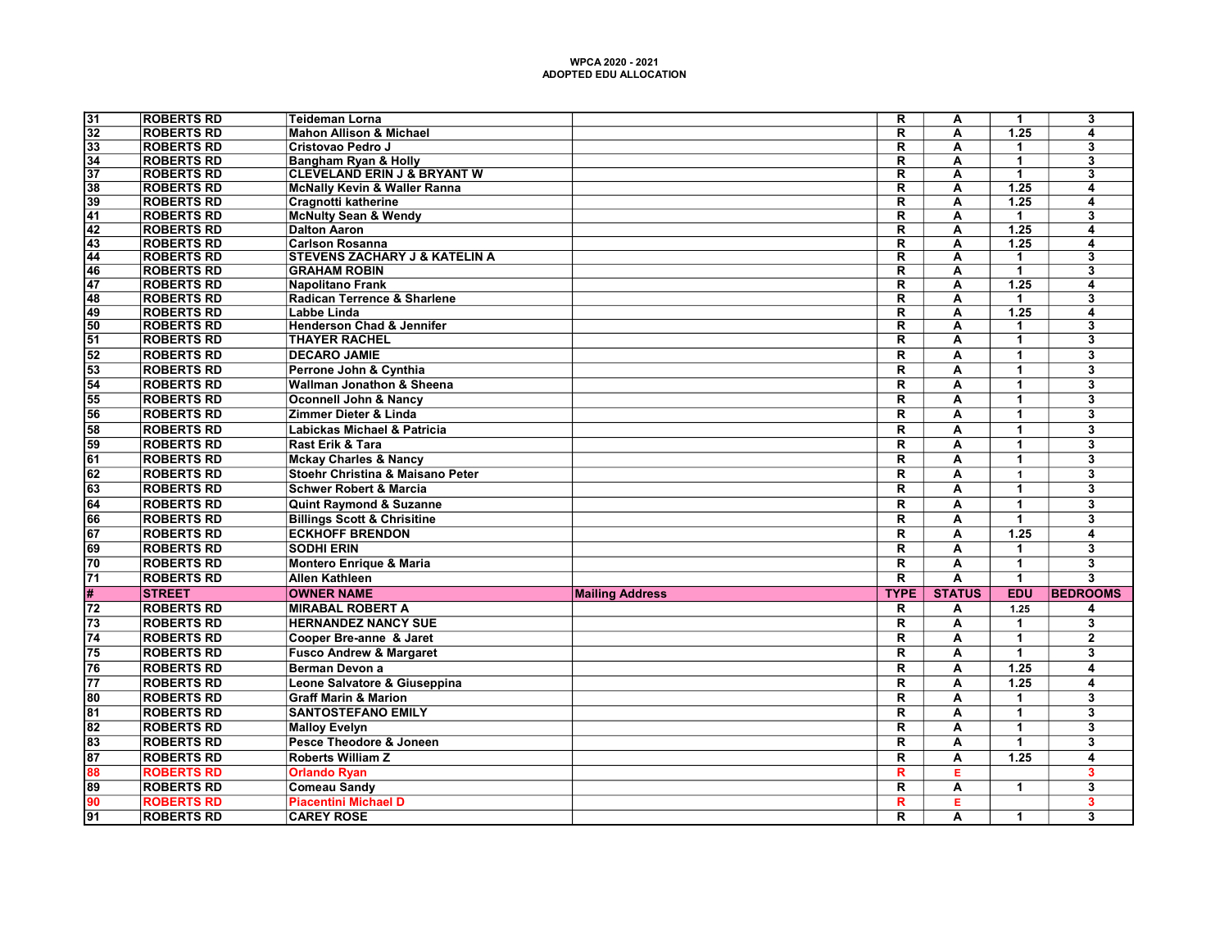| $\overline{32}$<br><b>ROBERTS RD</b><br><b>Mahon Allison &amp; Michael</b><br>$\overline{\mathsf{R}}$<br>$\overline{\mathsf{A}}$<br>1.25<br>4<br>33<br><b>ROBERTS RD</b><br>Cristovao Pedro J<br>R<br>A<br>$\blacktriangleleft$<br>3<br>34<br><b>ROBERTS RD</b><br>$\overline{\mathsf{R}}$<br>$\overline{1}$<br>$\overline{\mathbf{3}}$<br><b>Bangham Ryan &amp; Holly</b><br>A<br>$\overline{37}$<br><b>ROBERTS RD</b><br><b>CLEVELAND ERIN J &amp; BRYANT W</b><br>$\overline{\mathsf{R}}$<br>$\overline{1}$<br>$\overline{\mathbf{3}}$<br>A<br>38<br><b>ROBERTS RD</b><br><b>McNally Kevin &amp; Waller Ranna</b><br>$\overline{\mathsf{R}}$<br>1.25<br>A<br>4<br>$\overline{39}$<br><b>ROBERTS RD</b><br>$\overline{\mathsf{R}}$<br>1.25<br>Cragnotti katherine<br>А<br>4<br>41<br><b>ROBERTS RD</b><br>$\overline{\mathsf{R}}$<br><b>McNulty Sean &amp; Wendy</b><br>A<br>3<br>$\mathbf 1$<br><b>ROBERTS RD</b><br>$\overline{\mathsf{R}}$<br>1.25<br>$\overline{42}$<br><b>Dalton Aaron</b><br>$\overline{\mathbf{A}}$<br>$\overline{4}$<br>$\overline{43}$<br><b>ROBERTS RD</b><br><b>Carlson Rosanna</b><br>$\overline{\mathsf{R}}$<br>1.25<br>A<br>$\overline{\mathbf{4}}$<br><b>STEVENS ZACHARY J &amp; KATELIN A</b><br>$\overline{\mathsf{R}}$<br>$\overline{\mathbf{3}}$<br>44<br><b>ROBERTS RD</b><br>A<br>$\blacktriangleleft$<br>46<br><b>ROBERTS RD</b><br><b>GRAHAM ROBIN</b><br>$\overline{\mathsf{R}}$<br>$\overline{1}$<br>$\overline{\mathbf{3}}$<br>А<br>$\overline{47}$<br>$\overline{\mathsf{R}}$<br>1.25<br><b>ROBERTS RD</b><br>A<br>Napolitano Frank<br>4<br>$\overline{\mathsf{R}}$<br>$\overline{\overline{3}}$<br>48<br><b>ROBERTS RD</b><br>Radican Terrence & Sharlene<br>$\overline{A}$<br>$\overline{1}$<br>49<br><b>ROBERTS RD</b><br>Labbe Linda<br>$\overline{\mathsf{R}}$<br>$\overline{\mathsf{A}}$<br>$\overline{1.25}$<br>4<br><b>ROBERTS RD</b><br><b>Henderson Chad &amp; Jennifer</b><br>50<br>$\overline{\mathsf{R}}$<br>3<br>A<br>$\mathbf 1$<br><b>ROBERTS RD</b><br>51<br><b>THAYER RACHEL</b><br>$\overline{\mathsf{R}}$<br>$\overline{\mathsf{A}}$<br>$\overline{1}$<br>$\overline{\mathbf{3}}$<br>52<br><b>ROBERTS RD</b><br><b>DECARO JAMIE</b><br>$\overline{\mathsf{R}}$<br>$\overline{\mathsf{A}}$<br>$\overline{3}$<br>$\blacktriangleleft$<br>$\overline{53}$<br><b>ROBERTS RD</b><br>$\mathsf{R}$<br>3<br>Perrone John & Cynthia<br>A<br>$\blacktriangleleft$<br>$\overline{54}$<br><b>ROBERTS RD</b><br>Wallman Jonathon & Sheena<br>$\overline{\mathsf{R}}$<br>$\overline{\mathbf{3}}$<br>$\overline{\mathsf{A}}$<br>$\overline{1}$<br>$\overline{55}$<br><b>ROBERTS RD</b><br><b>Oconnell John &amp; Nancy</b><br>$\overline{\mathsf{R}}$<br>$\overline{\mathbf{3}}$<br>A<br>$\blacktriangleleft$<br><b>ROBERTS RD</b><br>Zimmer Dieter & Linda<br>$\overline{\mathbf{3}}$<br>$\overline{56}$<br>$\overline{\mathsf{R}}$<br>$\overline{\mathsf{A}}$<br>$\overline{1}$<br>58<br>$\overline{\mathsf{R}}$<br>$\overline{\mathbf{3}}$<br><b>ROBERTS RD</b><br>Labickas Michael & Patricia<br>$\overline{\mathsf{A}}$<br>$\overline{1}$<br>59<br><b>ROBERTS RD</b><br>Rast Erik & Tara<br>$\mathsf{R}$<br>A<br>$\mathbf{3}$<br>$\mathbf{1}$<br>$\overline{61}$<br><b>ROBERTS RD</b><br><b>Mckay Charles &amp; Nancy</b><br>$\overline{\mathsf{R}}$<br>$\overline{\mathsf{A}}$<br>$\overline{\mathbf{3}}$<br>$\overline{1}$<br>Stoehr Christina & Maisano Peter<br>62<br><b>ROBERTS RD</b><br>$\overline{\mathsf{R}}$<br>$\overline{\mathbf{3}}$<br>А<br>$\blacktriangleleft$<br>63<br><b>ROBERTS RD</b><br>$\overline{\mathsf{R}}$<br>$\overline{\mathbf{3}}$<br><b>Schwer Robert &amp; Marcia</b><br>A<br>$\mathbf{1}$<br>64<br><b>ROBERTS RD</b><br>$\overline{\mathsf{R}}$<br>$\overline{\mathbf{3}}$<br><b>Quint Raymond &amp; Suzanne</b><br>$\overline{\mathsf{A}}$<br>$\overline{1}$<br>$\overline{1}$<br>66<br><b>ROBERTS RD</b><br>$\overline{\mathsf{R}}$<br>$\overline{\mathbf{A}}$<br>$\overline{3}$<br><b>Billings Scott &amp; Chrisitine</b><br>67<br><b>ROBERTS RD</b><br><b>ECKHOFF BRENDON</b><br>$\overline{\mathsf{R}}$<br>1.25<br>A<br>$\overline{\mathbf{4}}$<br>$\overline{\mathsf{R}}$<br>$\overline{A}$<br>$\overline{\mathbf{3}}$<br>69<br><b>ROBERTS RD</b><br><b>SODHI ERIN</b><br>$\overline{1}$<br>$\overline{70}$<br><b>ROBERTS RD</b><br><b>Montero Enrique &amp; Maria</b><br>$\overline{\mathsf{R}}$<br>$\overline{\mathsf{A}}$<br>$\overline{1}$<br>$\overline{\mathbf{3}}$<br>$\overline{\mathbf{3}}$<br>$\overline{71}$<br><b>ROBERTS RD</b><br>$\overline{\mathsf{R}}$<br>$\overline{\mathsf{A}}$<br><b>Allen Kathleen</b><br>$\mathbf{1}$<br><b>BEDROOMS</b><br><b>STREET</b><br><b>OWNER NAME</b><br><b>TYPE</b><br><b>STATUS</b><br>EDU<br>#<br><b>Mailing Address</b><br><b>ROBERTS RD</b><br><b>MIRABAL ROBERT A</b><br>$\overline{72}$<br>R<br>A<br>1.25<br>4<br>$\overline{73}$<br><b>ROBERTS RD</b><br>$\overline{\mathsf{R}}$<br>$\overline{\mathbf{3}}$<br><b>HERNANDEZ NANCY SUE</b><br>A<br>$\mathbf{1}$<br>$\overline{74}$<br>$\overline{\mathsf{R}}$<br>$\overline{2}$<br><b>ROBERTS RD</b><br>Cooper Bre-anne & Jaret<br>$\overline{\mathsf{A}}$<br>$\overline{1}$<br>$\overline{\mathsf{R}}$<br>$\overline{\mathbf{3}}$<br>$\overline{75}$<br><b>ROBERTS RD</b><br><b>Fusco Andrew &amp; Margaret</b><br>$\overline{\mathbf{A}}$<br>$\overline{1}$<br>$\overline{76}$<br><b>ROBERTS RD</b><br>Berman Devon a<br>$\overline{\mathsf{R}}$<br>1.25<br>A<br>$\overline{\mathbf{4}}$<br>$\overline{\mathsf{R}}$<br>$\overline{77}$<br><b>ROBERTS RD</b><br>Leone Salvatore & Giuseppina<br>$\overline{\mathsf{A}}$<br>1.25<br>$\overline{4}$<br>$\overline{\mathbf{3}}$<br>80<br><b>ROBERTS RD</b><br><b>Graff Marin &amp; Marion</b><br>$\overline{\mathsf{R}}$<br>A<br>$\mathbf 1$<br><b>ROBERTS RD</b><br><b>SANTOSTEFANO EMILY</b><br>$\overline{\mathbf{3}}$<br>$\overline{81}$<br>$\overline{\mathsf{R}}$<br>$\overline{\mathsf{A}}$<br>$\overline{1}$<br>$\overline{82}$<br><b>ROBERTS RD</b><br>$\overline{\mathsf{R}}$<br>$\overline{\mathbf{A}}$<br>$\overline{1}$<br>$\overline{3}$<br><b>Malloy Evelyn</b><br><b>ROBERTS RD</b><br>Pesce Theodore & Joneen<br>$\mathsf{R}$<br>A<br>$\mathbf{1}$<br>3<br>$\overline{87}$<br><b>Roberts William Z</b><br>$\overline{\mathsf{R}}$<br>1.25<br>$\overline{4}$<br><b>ROBERTS RD</b><br>$\overline{A}$<br>88<br><b>ROBERTS RD</b><br><b>Orlando Ryan</b><br>R<br>Е<br>$\overline{\mathbf{3}}$<br><b>ROBERTS RD</b><br>$\overline{\mathbf{3}}$<br>89<br><b>Comeau Sandy</b><br>R<br>A<br>1<br>90<br><b>Piacentini Michael D</b><br><b>ROBERTS RD</b><br>$\overline{\mathsf{R}}$<br>E<br>$\overline{\mathbf{3}}$<br>91<br><b>ROBERTS RD</b><br><b>CAREY ROSE</b><br>$\overline{\mathbf{3}}$<br>R<br>A<br>1 |    |                   |                       |                         |                         |                      |                         |
|------------------------------------------------------------------------------------------------------------------------------------------------------------------------------------------------------------------------------------------------------------------------------------------------------------------------------------------------------------------------------------------------------------------------------------------------------------------------------------------------------------------------------------------------------------------------------------------------------------------------------------------------------------------------------------------------------------------------------------------------------------------------------------------------------------------------------------------------------------------------------------------------------------------------------------------------------------------------------------------------------------------------------------------------------------------------------------------------------------------------------------------------------------------------------------------------------------------------------------------------------------------------------------------------------------------------------------------------------------------------------------------------------------------------------------------------------------------------------------------------------------------------------------------------------------------------------------------------------------------------------------------------------------------------------------------------------------------------------------------------------------------------------------------------------------------------------------------------------------------------------------------------------------------------------------------------------------------------------------------------------------------------------------------------------------------------------------------------------------------------------------------------------------------------------------------------------------------------------------------------------------------------------------------------------------------------------------------------------------------------------------------------------------------------------------------------------------------------------------------------------------------------------------------------------------------------------------------------------------------------------------------------------------------------------------------------------------------------------------------------------------------------------------------------------------------------------------------------------------------------------------------------------------------------------------------------------------------------------------------------------------------------------------------------------------------------------------------------------------------------------------------------------------------------------------------------------------------------------------------------------------------------------------------------------------------------------------------------------------------------------------------------------------------------------------------------------------------------------------------------------------------------------------------------------------------------------------------------------------------------------------------------------------------------------------------------------------------------------------------------------------------------------------------------------------------------------------------------------------------------------------------------------------------------------------------------------------------------------------------------------------------------------------------------------------------------------------------------------------------------------------------------------------------------------------------------------------------------------------------------------------------------------------------------------------------------------------------------------------------------------------------------------------------------------------------------------------------------------------------------------------------------------------------------------------------------------------------------------------------------------------------------------------------------------------------------------------------------------------------------------------------------------------------------------------------------------------------------------------------------------------------------------------------------------------------------------------------------------------------------------------------------------------------------------------------------------------------------------------------------------------------------------------------------------------------------------------------------------------------------------------------------------------------------------------------------------------------------------------------------------------------------------------------------------------------------------------------------------------------------------------------------------------------------------------------------------------------------------------------------------------------------------------------------------------------------------------------------------------------------------------------------------------------------------------------------------------------------------------------------------------------------------------------------------------------------------------------------------------------------------------------------------------------------------------------------------------------------------------------------------------------------------------------------------------------------------------------------------------------------------------------------------------------------------------------------------------------------------------------------------------------------------------------------------------------------------------------------------------------------------------------------------------------------------------------------------------------------------------------------------------------------------------------------------------------------------------------------------------------------------------------------|----|-------------------|-----------------------|-------------------------|-------------------------|----------------------|-------------------------|
|                                                                                                                                                                                                                                                                                                                                                                                                                                                                                                                                                                                                                                                                                                                                                                                                                                                                                                                                                                                                                                                                                                                                                                                                                                                                                                                                                                                                                                                                                                                                                                                                                                                                                                                                                                                                                                                                                                                                                                                                                                                                                                                                                                                                                                                                                                                                                                                                                                                                                                                                                                                                                                                                                                                                                                                                                                                                                                                                                                                                                                                                                                                                                                                                                                                                                                                                                                                                                                                                                                                                                                                                                                                                                                                                                                                                                                                                                                                                                                                                                                                                                                                                                                                                                                                                                                                                                                                                                                                                                                                                                                                                                                                                                                                                                                                                                                                                                                                                                                                                                                                                                                                                                                                                                                                                                                                                                                                                                                                                                                                                                                                                                                                                                                                                                                                                                                                                                                                                                                                                                                                                                                                                                                                                                                                                                                                                                                                                                                                                                                                                                                                                                                                                                                                                                                        | 31 | <b>ROBERTS RD</b> | <b>Teideman Lorna</b> | $\overline{\mathsf{R}}$ | $\overline{\mathsf{A}}$ | $\blacktriangleleft$ | $\overline{\mathbf{3}}$ |
|                                                                                                                                                                                                                                                                                                                                                                                                                                                                                                                                                                                                                                                                                                                                                                                                                                                                                                                                                                                                                                                                                                                                                                                                                                                                                                                                                                                                                                                                                                                                                                                                                                                                                                                                                                                                                                                                                                                                                                                                                                                                                                                                                                                                                                                                                                                                                                                                                                                                                                                                                                                                                                                                                                                                                                                                                                                                                                                                                                                                                                                                                                                                                                                                                                                                                                                                                                                                                                                                                                                                                                                                                                                                                                                                                                                                                                                                                                                                                                                                                                                                                                                                                                                                                                                                                                                                                                                                                                                                                                                                                                                                                                                                                                                                                                                                                                                                                                                                                                                                                                                                                                                                                                                                                                                                                                                                                                                                                                                                                                                                                                                                                                                                                                                                                                                                                                                                                                                                                                                                                                                                                                                                                                                                                                                                                                                                                                                                                                                                                                                                                                                                                                                                                                                                                                        |    |                   |                       |                         |                         |                      |                         |
|                                                                                                                                                                                                                                                                                                                                                                                                                                                                                                                                                                                                                                                                                                                                                                                                                                                                                                                                                                                                                                                                                                                                                                                                                                                                                                                                                                                                                                                                                                                                                                                                                                                                                                                                                                                                                                                                                                                                                                                                                                                                                                                                                                                                                                                                                                                                                                                                                                                                                                                                                                                                                                                                                                                                                                                                                                                                                                                                                                                                                                                                                                                                                                                                                                                                                                                                                                                                                                                                                                                                                                                                                                                                                                                                                                                                                                                                                                                                                                                                                                                                                                                                                                                                                                                                                                                                                                                                                                                                                                                                                                                                                                                                                                                                                                                                                                                                                                                                                                                                                                                                                                                                                                                                                                                                                                                                                                                                                                                                                                                                                                                                                                                                                                                                                                                                                                                                                                                                                                                                                                                                                                                                                                                                                                                                                                                                                                                                                                                                                                                                                                                                                                                                                                                                                                        |    |                   |                       |                         |                         |                      |                         |
|                                                                                                                                                                                                                                                                                                                                                                                                                                                                                                                                                                                                                                                                                                                                                                                                                                                                                                                                                                                                                                                                                                                                                                                                                                                                                                                                                                                                                                                                                                                                                                                                                                                                                                                                                                                                                                                                                                                                                                                                                                                                                                                                                                                                                                                                                                                                                                                                                                                                                                                                                                                                                                                                                                                                                                                                                                                                                                                                                                                                                                                                                                                                                                                                                                                                                                                                                                                                                                                                                                                                                                                                                                                                                                                                                                                                                                                                                                                                                                                                                                                                                                                                                                                                                                                                                                                                                                                                                                                                                                                                                                                                                                                                                                                                                                                                                                                                                                                                                                                                                                                                                                                                                                                                                                                                                                                                                                                                                                                                                                                                                                                                                                                                                                                                                                                                                                                                                                                                                                                                                                                                                                                                                                                                                                                                                                                                                                                                                                                                                                                                                                                                                                                                                                                                                                        |    |                   |                       |                         |                         |                      |                         |
|                                                                                                                                                                                                                                                                                                                                                                                                                                                                                                                                                                                                                                                                                                                                                                                                                                                                                                                                                                                                                                                                                                                                                                                                                                                                                                                                                                                                                                                                                                                                                                                                                                                                                                                                                                                                                                                                                                                                                                                                                                                                                                                                                                                                                                                                                                                                                                                                                                                                                                                                                                                                                                                                                                                                                                                                                                                                                                                                                                                                                                                                                                                                                                                                                                                                                                                                                                                                                                                                                                                                                                                                                                                                                                                                                                                                                                                                                                                                                                                                                                                                                                                                                                                                                                                                                                                                                                                                                                                                                                                                                                                                                                                                                                                                                                                                                                                                                                                                                                                                                                                                                                                                                                                                                                                                                                                                                                                                                                                                                                                                                                                                                                                                                                                                                                                                                                                                                                                                                                                                                                                                                                                                                                                                                                                                                                                                                                                                                                                                                                                                                                                                                                                                                                                                                                        |    |                   |                       |                         |                         |                      |                         |
|                                                                                                                                                                                                                                                                                                                                                                                                                                                                                                                                                                                                                                                                                                                                                                                                                                                                                                                                                                                                                                                                                                                                                                                                                                                                                                                                                                                                                                                                                                                                                                                                                                                                                                                                                                                                                                                                                                                                                                                                                                                                                                                                                                                                                                                                                                                                                                                                                                                                                                                                                                                                                                                                                                                                                                                                                                                                                                                                                                                                                                                                                                                                                                                                                                                                                                                                                                                                                                                                                                                                                                                                                                                                                                                                                                                                                                                                                                                                                                                                                                                                                                                                                                                                                                                                                                                                                                                                                                                                                                                                                                                                                                                                                                                                                                                                                                                                                                                                                                                                                                                                                                                                                                                                                                                                                                                                                                                                                                                                                                                                                                                                                                                                                                                                                                                                                                                                                                                                                                                                                                                                                                                                                                                                                                                                                                                                                                                                                                                                                                                                                                                                                                                                                                                                                                        |    |                   |                       |                         |                         |                      |                         |
|                                                                                                                                                                                                                                                                                                                                                                                                                                                                                                                                                                                                                                                                                                                                                                                                                                                                                                                                                                                                                                                                                                                                                                                                                                                                                                                                                                                                                                                                                                                                                                                                                                                                                                                                                                                                                                                                                                                                                                                                                                                                                                                                                                                                                                                                                                                                                                                                                                                                                                                                                                                                                                                                                                                                                                                                                                                                                                                                                                                                                                                                                                                                                                                                                                                                                                                                                                                                                                                                                                                                                                                                                                                                                                                                                                                                                                                                                                                                                                                                                                                                                                                                                                                                                                                                                                                                                                                                                                                                                                                                                                                                                                                                                                                                                                                                                                                                                                                                                                                                                                                                                                                                                                                                                                                                                                                                                                                                                                                                                                                                                                                                                                                                                                                                                                                                                                                                                                                                                                                                                                                                                                                                                                                                                                                                                                                                                                                                                                                                                                                                                                                                                                                                                                                                                                        |    |                   |                       |                         |                         |                      |                         |
|                                                                                                                                                                                                                                                                                                                                                                                                                                                                                                                                                                                                                                                                                                                                                                                                                                                                                                                                                                                                                                                                                                                                                                                                                                                                                                                                                                                                                                                                                                                                                                                                                                                                                                                                                                                                                                                                                                                                                                                                                                                                                                                                                                                                                                                                                                                                                                                                                                                                                                                                                                                                                                                                                                                                                                                                                                                                                                                                                                                                                                                                                                                                                                                                                                                                                                                                                                                                                                                                                                                                                                                                                                                                                                                                                                                                                                                                                                                                                                                                                                                                                                                                                                                                                                                                                                                                                                                                                                                                                                                                                                                                                                                                                                                                                                                                                                                                                                                                                                                                                                                                                                                                                                                                                                                                                                                                                                                                                                                                                                                                                                                                                                                                                                                                                                                                                                                                                                                                                                                                                                                                                                                                                                                                                                                                                                                                                                                                                                                                                                                                                                                                                                                                                                                                                                        |    |                   |                       |                         |                         |                      |                         |
|                                                                                                                                                                                                                                                                                                                                                                                                                                                                                                                                                                                                                                                                                                                                                                                                                                                                                                                                                                                                                                                                                                                                                                                                                                                                                                                                                                                                                                                                                                                                                                                                                                                                                                                                                                                                                                                                                                                                                                                                                                                                                                                                                                                                                                                                                                                                                                                                                                                                                                                                                                                                                                                                                                                                                                                                                                                                                                                                                                                                                                                                                                                                                                                                                                                                                                                                                                                                                                                                                                                                                                                                                                                                                                                                                                                                                                                                                                                                                                                                                                                                                                                                                                                                                                                                                                                                                                                                                                                                                                                                                                                                                                                                                                                                                                                                                                                                                                                                                                                                                                                                                                                                                                                                                                                                                                                                                                                                                                                                                                                                                                                                                                                                                                                                                                                                                                                                                                                                                                                                                                                                                                                                                                                                                                                                                                                                                                                                                                                                                                                                                                                                                                                                                                                                                                        |    |                   |                       |                         |                         |                      |                         |
|                                                                                                                                                                                                                                                                                                                                                                                                                                                                                                                                                                                                                                                                                                                                                                                                                                                                                                                                                                                                                                                                                                                                                                                                                                                                                                                                                                                                                                                                                                                                                                                                                                                                                                                                                                                                                                                                                                                                                                                                                                                                                                                                                                                                                                                                                                                                                                                                                                                                                                                                                                                                                                                                                                                                                                                                                                                                                                                                                                                                                                                                                                                                                                                                                                                                                                                                                                                                                                                                                                                                                                                                                                                                                                                                                                                                                                                                                                                                                                                                                                                                                                                                                                                                                                                                                                                                                                                                                                                                                                                                                                                                                                                                                                                                                                                                                                                                                                                                                                                                                                                                                                                                                                                                                                                                                                                                                                                                                                                                                                                                                                                                                                                                                                                                                                                                                                                                                                                                                                                                                                                                                                                                                                                                                                                                                                                                                                                                                                                                                                                                                                                                                                                                                                                                                                        |    |                   |                       |                         |                         |                      |                         |
|                                                                                                                                                                                                                                                                                                                                                                                                                                                                                                                                                                                                                                                                                                                                                                                                                                                                                                                                                                                                                                                                                                                                                                                                                                                                                                                                                                                                                                                                                                                                                                                                                                                                                                                                                                                                                                                                                                                                                                                                                                                                                                                                                                                                                                                                                                                                                                                                                                                                                                                                                                                                                                                                                                                                                                                                                                                                                                                                                                                                                                                                                                                                                                                                                                                                                                                                                                                                                                                                                                                                                                                                                                                                                                                                                                                                                                                                                                                                                                                                                                                                                                                                                                                                                                                                                                                                                                                                                                                                                                                                                                                                                                                                                                                                                                                                                                                                                                                                                                                                                                                                                                                                                                                                                                                                                                                                                                                                                                                                                                                                                                                                                                                                                                                                                                                                                                                                                                                                                                                                                                                                                                                                                                                                                                                                                                                                                                                                                                                                                                                                                                                                                                                                                                                                                                        |    |                   |                       |                         |                         |                      |                         |
|                                                                                                                                                                                                                                                                                                                                                                                                                                                                                                                                                                                                                                                                                                                                                                                                                                                                                                                                                                                                                                                                                                                                                                                                                                                                                                                                                                                                                                                                                                                                                                                                                                                                                                                                                                                                                                                                                                                                                                                                                                                                                                                                                                                                                                                                                                                                                                                                                                                                                                                                                                                                                                                                                                                                                                                                                                                                                                                                                                                                                                                                                                                                                                                                                                                                                                                                                                                                                                                                                                                                                                                                                                                                                                                                                                                                                                                                                                                                                                                                                                                                                                                                                                                                                                                                                                                                                                                                                                                                                                                                                                                                                                                                                                                                                                                                                                                                                                                                                                                                                                                                                                                                                                                                                                                                                                                                                                                                                                                                                                                                                                                                                                                                                                                                                                                                                                                                                                                                                                                                                                                                                                                                                                                                                                                                                                                                                                                                                                                                                                                                                                                                                                                                                                                                                                        |    |                   |                       |                         |                         |                      |                         |
|                                                                                                                                                                                                                                                                                                                                                                                                                                                                                                                                                                                                                                                                                                                                                                                                                                                                                                                                                                                                                                                                                                                                                                                                                                                                                                                                                                                                                                                                                                                                                                                                                                                                                                                                                                                                                                                                                                                                                                                                                                                                                                                                                                                                                                                                                                                                                                                                                                                                                                                                                                                                                                                                                                                                                                                                                                                                                                                                                                                                                                                                                                                                                                                                                                                                                                                                                                                                                                                                                                                                                                                                                                                                                                                                                                                                                                                                                                                                                                                                                                                                                                                                                                                                                                                                                                                                                                                                                                                                                                                                                                                                                                                                                                                                                                                                                                                                                                                                                                                                                                                                                                                                                                                                                                                                                                                                                                                                                                                                                                                                                                                                                                                                                                                                                                                                                                                                                                                                                                                                                                                                                                                                                                                                                                                                                                                                                                                                                                                                                                                                                                                                                                                                                                                                                                        |    |                   |                       |                         |                         |                      |                         |
|                                                                                                                                                                                                                                                                                                                                                                                                                                                                                                                                                                                                                                                                                                                                                                                                                                                                                                                                                                                                                                                                                                                                                                                                                                                                                                                                                                                                                                                                                                                                                                                                                                                                                                                                                                                                                                                                                                                                                                                                                                                                                                                                                                                                                                                                                                                                                                                                                                                                                                                                                                                                                                                                                                                                                                                                                                                                                                                                                                                                                                                                                                                                                                                                                                                                                                                                                                                                                                                                                                                                                                                                                                                                                                                                                                                                                                                                                                                                                                                                                                                                                                                                                                                                                                                                                                                                                                                                                                                                                                                                                                                                                                                                                                                                                                                                                                                                                                                                                                                                                                                                                                                                                                                                                                                                                                                                                                                                                                                                                                                                                                                                                                                                                                                                                                                                                                                                                                                                                                                                                                                                                                                                                                                                                                                                                                                                                                                                                                                                                                                                                                                                                                                                                                                                                                        |    |                   |                       |                         |                         |                      |                         |
|                                                                                                                                                                                                                                                                                                                                                                                                                                                                                                                                                                                                                                                                                                                                                                                                                                                                                                                                                                                                                                                                                                                                                                                                                                                                                                                                                                                                                                                                                                                                                                                                                                                                                                                                                                                                                                                                                                                                                                                                                                                                                                                                                                                                                                                                                                                                                                                                                                                                                                                                                                                                                                                                                                                                                                                                                                                                                                                                                                                                                                                                                                                                                                                                                                                                                                                                                                                                                                                                                                                                                                                                                                                                                                                                                                                                                                                                                                                                                                                                                                                                                                                                                                                                                                                                                                                                                                                                                                                                                                                                                                                                                                                                                                                                                                                                                                                                                                                                                                                                                                                                                                                                                                                                                                                                                                                                                                                                                                                                                                                                                                                                                                                                                                                                                                                                                                                                                                                                                                                                                                                                                                                                                                                                                                                                                                                                                                                                                                                                                                                                                                                                                                                                                                                                                                        |    |                   |                       |                         |                         |                      |                         |
|                                                                                                                                                                                                                                                                                                                                                                                                                                                                                                                                                                                                                                                                                                                                                                                                                                                                                                                                                                                                                                                                                                                                                                                                                                                                                                                                                                                                                                                                                                                                                                                                                                                                                                                                                                                                                                                                                                                                                                                                                                                                                                                                                                                                                                                                                                                                                                                                                                                                                                                                                                                                                                                                                                                                                                                                                                                                                                                                                                                                                                                                                                                                                                                                                                                                                                                                                                                                                                                                                                                                                                                                                                                                                                                                                                                                                                                                                                                                                                                                                                                                                                                                                                                                                                                                                                                                                                                                                                                                                                                                                                                                                                                                                                                                                                                                                                                                                                                                                                                                                                                                                                                                                                                                                                                                                                                                                                                                                                                                                                                                                                                                                                                                                                                                                                                                                                                                                                                                                                                                                                                                                                                                                                                                                                                                                                                                                                                                                                                                                                                                                                                                                                                                                                                                                                        |    |                   |                       |                         |                         |                      |                         |
|                                                                                                                                                                                                                                                                                                                                                                                                                                                                                                                                                                                                                                                                                                                                                                                                                                                                                                                                                                                                                                                                                                                                                                                                                                                                                                                                                                                                                                                                                                                                                                                                                                                                                                                                                                                                                                                                                                                                                                                                                                                                                                                                                                                                                                                                                                                                                                                                                                                                                                                                                                                                                                                                                                                                                                                                                                                                                                                                                                                                                                                                                                                                                                                                                                                                                                                                                                                                                                                                                                                                                                                                                                                                                                                                                                                                                                                                                                                                                                                                                                                                                                                                                                                                                                                                                                                                                                                                                                                                                                                                                                                                                                                                                                                                                                                                                                                                                                                                                                                                                                                                                                                                                                                                                                                                                                                                                                                                                                                                                                                                                                                                                                                                                                                                                                                                                                                                                                                                                                                                                                                                                                                                                                                                                                                                                                                                                                                                                                                                                                                                                                                                                                                                                                                                                                        |    |                   |                       |                         |                         |                      |                         |
|                                                                                                                                                                                                                                                                                                                                                                                                                                                                                                                                                                                                                                                                                                                                                                                                                                                                                                                                                                                                                                                                                                                                                                                                                                                                                                                                                                                                                                                                                                                                                                                                                                                                                                                                                                                                                                                                                                                                                                                                                                                                                                                                                                                                                                                                                                                                                                                                                                                                                                                                                                                                                                                                                                                                                                                                                                                                                                                                                                                                                                                                                                                                                                                                                                                                                                                                                                                                                                                                                                                                                                                                                                                                                                                                                                                                                                                                                                                                                                                                                                                                                                                                                                                                                                                                                                                                                                                                                                                                                                                                                                                                                                                                                                                                                                                                                                                                                                                                                                                                                                                                                                                                                                                                                                                                                                                                                                                                                                                                                                                                                                                                                                                                                                                                                                                                                                                                                                                                                                                                                                                                                                                                                                                                                                                                                                                                                                                                                                                                                                                                                                                                                                                                                                                                                                        |    |                   |                       |                         |                         |                      |                         |
|                                                                                                                                                                                                                                                                                                                                                                                                                                                                                                                                                                                                                                                                                                                                                                                                                                                                                                                                                                                                                                                                                                                                                                                                                                                                                                                                                                                                                                                                                                                                                                                                                                                                                                                                                                                                                                                                                                                                                                                                                                                                                                                                                                                                                                                                                                                                                                                                                                                                                                                                                                                                                                                                                                                                                                                                                                                                                                                                                                                                                                                                                                                                                                                                                                                                                                                                                                                                                                                                                                                                                                                                                                                                                                                                                                                                                                                                                                                                                                                                                                                                                                                                                                                                                                                                                                                                                                                                                                                                                                                                                                                                                                                                                                                                                                                                                                                                                                                                                                                                                                                                                                                                                                                                                                                                                                                                                                                                                                                                                                                                                                                                                                                                                                                                                                                                                                                                                                                                                                                                                                                                                                                                                                                                                                                                                                                                                                                                                                                                                                                                                                                                                                                                                                                                                                        |    |                   |                       |                         |                         |                      |                         |
|                                                                                                                                                                                                                                                                                                                                                                                                                                                                                                                                                                                                                                                                                                                                                                                                                                                                                                                                                                                                                                                                                                                                                                                                                                                                                                                                                                                                                                                                                                                                                                                                                                                                                                                                                                                                                                                                                                                                                                                                                                                                                                                                                                                                                                                                                                                                                                                                                                                                                                                                                                                                                                                                                                                                                                                                                                                                                                                                                                                                                                                                                                                                                                                                                                                                                                                                                                                                                                                                                                                                                                                                                                                                                                                                                                                                                                                                                                                                                                                                                                                                                                                                                                                                                                                                                                                                                                                                                                                                                                                                                                                                                                                                                                                                                                                                                                                                                                                                                                                                                                                                                                                                                                                                                                                                                                                                                                                                                                                                                                                                                                                                                                                                                                                                                                                                                                                                                                                                                                                                                                                                                                                                                                                                                                                                                                                                                                                                                                                                                                                                                                                                                                                                                                                                                                        |    |                   |                       |                         |                         |                      |                         |
|                                                                                                                                                                                                                                                                                                                                                                                                                                                                                                                                                                                                                                                                                                                                                                                                                                                                                                                                                                                                                                                                                                                                                                                                                                                                                                                                                                                                                                                                                                                                                                                                                                                                                                                                                                                                                                                                                                                                                                                                                                                                                                                                                                                                                                                                                                                                                                                                                                                                                                                                                                                                                                                                                                                                                                                                                                                                                                                                                                                                                                                                                                                                                                                                                                                                                                                                                                                                                                                                                                                                                                                                                                                                                                                                                                                                                                                                                                                                                                                                                                                                                                                                                                                                                                                                                                                                                                                                                                                                                                                                                                                                                                                                                                                                                                                                                                                                                                                                                                                                                                                                                                                                                                                                                                                                                                                                                                                                                                                                                                                                                                                                                                                                                                                                                                                                                                                                                                                                                                                                                                                                                                                                                                                                                                                                                                                                                                                                                                                                                                                                                                                                                                                                                                                                                                        |    |                   |                       |                         |                         |                      |                         |
|                                                                                                                                                                                                                                                                                                                                                                                                                                                                                                                                                                                                                                                                                                                                                                                                                                                                                                                                                                                                                                                                                                                                                                                                                                                                                                                                                                                                                                                                                                                                                                                                                                                                                                                                                                                                                                                                                                                                                                                                                                                                                                                                                                                                                                                                                                                                                                                                                                                                                                                                                                                                                                                                                                                                                                                                                                                                                                                                                                                                                                                                                                                                                                                                                                                                                                                                                                                                                                                                                                                                                                                                                                                                                                                                                                                                                                                                                                                                                                                                                                                                                                                                                                                                                                                                                                                                                                                                                                                                                                                                                                                                                                                                                                                                                                                                                                                                                                                                                                                                                                                                                                                                                                                                                                                                                                                                                                                                                                                                                                                                                                                                                                                                                                                                                                                                                                                                                                                                                                                                                                                                                                                                                                                                                                                                                                                                                                                                                                                                                                                                                                                                                                                                                                                                                                        |    |                   |                       |                         |                         |                      |                         |
|                                                                                                                                                                                                                                                                                                                                                                                                                                                                                                                                                                                                                                                                                                                                                                                                                                                                                                                                                                                                                                                                                                                                                                                                                                                                                                                                                                                                                                                                                                                                                                                                                                                                                                                                                                                                                                                                                                                                                                                                                                                                                                                                                                                                                                                                                                                                                                                                                                                                                                                                                                                                                                                                                                                                                                                                                                                                                                                                                                                                                                                                                                                                                                                                                                                                                                                                                                                                                                                                                                                                                                                                                                                                                                                                                                                                                                                                                                                                                                                                                                                                                                                                                                                                                                                                                                                                                                                                                                                                                                                                                                                                                                                                                                                                                                                                                                                                                                                                                                                                                                                                                                                                                                                                                                                                                                                                                                                                                                                                                                                                                                                                                                                                                                                                                                                                                                                                                                                                                                                                                                                                                                                                                                                                                                                                                                                                                                                                                                                                                                                                                                                                                                                                                                                                                                        |    |                   |                       |                         |                         |                      |                         |
|                                                                                                                                                                                                                                                                                                                                                                                                                                                                                                                                                                                                                                                                                                                                                                                                                                                                                                                                                                                                                                                                                                                                                                                                                                                                                                                                                                                                                                                                                                                                                                                                                                                                                                                                                                                                                                                                                                                                                                                                                                                                                                                                                                                                                                                                                                                                                                                                                                                                                                                                                                                                                                                                                                                                                                                                                                                                                                                                                                                                                                                                                                                                                                                                                                                                                                                                                                                                                                                                                                                                                                                                                                                                                                                                                                                                                                                                                                                                                                                                                                                                                                                                                                                                                                                                                                                                                                                                                                                                                                                                                                                                                                                                                                                                                                                                                                                                                                                                                                                                                                                                                                                                                                                                                                                                                                                                                                                                                                                                                                                                                                                                                                                                                                                                                                                                                                                                                                                                                                                                                                                                                                                                                                                                                                                                                                                                                                                                                                                                                                                                                                                                                                                                                                                                                                        |    |                   |                       |                         |                         |                      |                         |
|                                                                                                                                                                                                                                                                                                                                                                                                                                                                                                                                                                                                                                                                                                                                                                                                                                                                                                                                                                                                                                                                                                                                                                                                                                                                                                                                                                                                                                                                                                                                                                                                                                                                                                                                                                                                                                                                                                                                                                                                                                                                                                                                                                                                                                                                                                                                                                                                                                                                                                                                                                                                                                                                                                                                                                                                                                                                                                                                                                                                                                                                                                                                                                                                                                                                                                                                                                                                                                                                                                                                                                                                                                                                                                                                                                                                                                                                                                                                                                                                                                                                                                                                                                                                                                                                                                                                                                                                                                                                                                                                                                                                                                                                                                                                                                                                                                                                                                                                                                                                                                                                                                                                                                                                                                                                                                                                                                                                                                                                                                                                                                                                                                                                                                                                                                                                                                                                                                                                                                                                                                                                                                                                                                                                                                                                                                                                                                                                                                                                                                                                                                                                                                                                                                                                                                        |    |                   |                       |                         |                         |                      |                         |
|                                                                                                                                                                                                                                                                                                                                                                                                                                                                                                                                                                                                                                                                                                                                                                                                                                                                                                                                                                                                                                                                                                                                                                                                                                                                                                                                                                                                                                                                                                                                                                                                                                                                                                                                                                                                                                                                                                                                                                                                                                                                                                                                                                                                                                                                                                                                                                                                                                                                                                                                                                                                                                                                                                                                                                                                                                                                                                                                                                                                                                                                                                                                                                                                                                                                                                                                                                                                                                                                                                                                                                                                                                                                                                                                                                                                                                                                                                                                                                                                                                                                                                                                                                                                                                                                                                                                                                                                                                                                                                                                                                                                                                                                                                                                                                                                                                                                                                                                                                                                                                                                                                                                                                                                                                                                                                                                                                                                                                                                                                                                                                                                                                                                                                                                                                                                                                                                                                                                                                                                                                                                                                                                                                                                                                                                                                                                                                                                                                                                                                                                                                                                                                                                                                                                                                        |    |                   |                       |                         |                         |                      |                         |
|                                                                                                                                                                                                                                                                                                                                                                                                                                                                                                                                                                                                                                                                                                                                                                                                                                                                                                                                                                                                                                                                                                                                                                                                                                                                                                                                                                                                                                                                                                                                                                                                                                                                                                                                                                                                                                                                                                                                                                                                                                                                                                                                                                                                                                                                                                                                                                                                                                                                                                                                                                                                                                                                                                                                                                                                                                                                                                                                                                                                                                                                                                                                                                                                                                                                                                                                                                                                                                                                                                                                                                                                                                                                                                                                                                                                                                                                                                                                                                                                                                                                                                                                                                                                                                                                                                                                                                                                                                                                                                                                                                                                                                                                                                                                                                                                                                                                                                                                                                                                                                                                                                                                                                                                                                                                                                                                                                                                                                                                                                                                                                                                                                                                                                                                                                                                                                                                                                                                                                                                                                                                                                                                                                                                                                                                                                                                                                                                                                                                                                                                                                                                                                                                                                                                                                        |    |                   |                       |                         |                         |                      |                         |
|                                                                                                                                                                                                                                                                                                                                                                                                                                                                                                                                                                                                                                                                                                                                                                                                                                                                                                                                                                                                                                                                                                                                                                                                                                                                                                                                                                                                                                                                                                                                                                                                                                                                                                                                                                                                                                                                                                                                                                                                                                                                                                                                                                                                                                                                                                                                                                                                                                                                                                                                                                                                                                                                                                                                                                                                                                                                                                                                                                                                                                                                                                                                                                                                                                                                                                                                                                                                                                                                                                                                                                                                                                                                                                                                                                                                                                                                                                                                                                                                                                                                                                                                                                                                                                                                                                                                                                                                                                                                                                                                                                                                                                                                                                                                                                                                                                                                                                                                                                                                                                                                                                                                                                                                                                                                                                                                                                                                                                                                                                                                                                                                                                                                                                                                                                                                                                                                                                                                                                                                                                                                                                                                                                                                                                                                                                                                                                                                                                                                                                                                                                                                                                                                                                                                                                        |    |                   |                       |                         |                         |                      |                         |
|                                                                                                                                                                                                                                                                                                                                                                                                                                                                                                                                                                                                                                                                                                                                                                                                                                                                                                                                                                                                                                                                                                                                                                                                                                                                                                                                                                                                                                                                                                                                                                                                                                                                                                                                                                                                                                                                                                                                                                                                                                                                                                                                                                                                                                                                                                                                                                                                                                                                                                                                                                                                                                                                                                                                                                                                                                                                                                                                                                                                                                                                                                                                                                                                                                                                                                                                                                                                                                                                                                                                                                                                                                                                                                                                                                                                                                                                                                                                                                                                                                                                                                                                                                                                                                                                                                                                                                                                                                                                                                                                                                                                                                                                                                                                                                                                                                                                                                                                                                                                                                                                                                                                                                                                                                                                                                                                                                                                                                                                                                                                                                                                                                                                                                                                                                                                                                                                                                                                                                                                                                                                                                                                                                                                                                                                                                                                                                                                                                                                                                                                                                                                                                                                                                                                                                        |    |                   |                       |                         |                         |                      |                         |
|                                                                                                                                                                                                                                                                                                                                                                                                                                                                                                                                                                                                                                                                                                                                                                                                                                                                                                                                                                                                                                                                                                                                                                                                                                                                                                                                                                                                                                                                                                                                                                                                                                                                                                                                                                                                                                                                                                                                                                                                                                                                                                                                                                                                                                                                                                                                                                                                                                                                                                                                                                                                                                                                                                                                                                                                                                                                                                                                                                                                                                                                                                                                                                                                                                                                                                                                                                                                                                                                                                                                                                                                                                                                                                                                                                                                                                                                                                                                                                                                                                                                                                                                                                                                                                                                                                                                                                                                                                                                                                                                                                                                                                                                                                                                                                                                                                                                                                                                                                                                                                                                                                                                                                                                                                                                                                                                                                                                                                                                                                                                                                                                                                                                                                                                                                                                                                                                                                                                                                                                                                                                                                                                                                                                                                                                                                                                                                                                                                                                                                                                                                                                                                                                                                                                                                        |    |                   |                       |                         |                         |                      |                         |
|                                                                                                                                                                                                                                                                                                                                                                                                                                                                                                                                                                                                                                                                                                                                                                                                                                                                                                                                                                                                                                                                                                                                                                                                                                                                                                                                                                                                                                                                                                                                                                                                                                                                                                                                                                                                                                                                                                                                                                                                                                                                                                                                                                                                                                                                                                                                                                                                                                                                                                                                                                                                                                                                                                                                                                                                                                                                                                                                                                                                                                                                                                                                                                                                                                                                                                                                                                                                                                                                                                                                                                                                                                                                                                                                                                                                                                                                                                                                                                                                                                                                                                                                                                                                                                                                                                                                                                                                                                                                                                                                                                                                                                                                                                                                                                                                                                                                                                                                                                                                                                                                                                                                                                                                                                                                                                                                                                                                                                                                                                                                                                                                                                                                                                                                                                                                                                                                                                                                                                                                                                                                                                                                                                                                                                                                                                                                                                                                                                                                                                                                                                                                                                                                                                                                                                        |    |                   |                       |                         |                         |                      |                         |
|                                                                                                                                                                                                                                                                                                                                                                                                                                                                                                                                                                                                                                                                                                                                                                                                                                                                                                                                                                                                                                                                                                                                                                                                                                                                                                                                                                                                                                                                                                                                                                                                                                                                                                                                                                                                                                                                                                                                                                                                                                                                                                                                                                                                                                                                                                                                                                                                                                                                                                                                                                                                                                                                                                                                                                                                                                                                                                                                                                                                                                                                                                                                                                                                                                                                                                                                                                                                                                                                                                                                                                                                                                                                                                                                                                                                                                                                                                                                                                                                                                                                                                                                                                                                                                                                                                                                                                                                                                                                                                                                                                                                                                                                                                                                                                                                                                                                                                                                                                                                                                                                                                                                                                                                                                                                                                                                                                                                                                                                                                                                                                                                                                                                                                                                                                                                                                                                                                                                                                                                                                                                                                                                                                                                                                                                                                                                                                                                                                                                                                                                                                                                                                                                                                                                                                        |    |                   |                       |                         |                         |                      |                         |
|                                                                                                                                                                                                                                                                                                                                                                                                                                                                                                                                                                                                                                                                                                                                                                                                                                                                                                                                                                                                                                                                                                                                                                                                                                                                                                                                                                                                                                                                                                                                                                                                                                                                                                                                                                                                                                                                                                                                                                                                                                                                                                                                                                                                                                                                                                                                                                                                                                                                                                                                                                                                                                                                                                                                                                                                                                                                                                                                                                                                                                                                                                                                                                                                                                                                                                                                                                                                                                                                                                                                                                                                                                                                                                                                                                                                                                                                                                                                                                                                                                                                                                                                                                                                                                                                                                                                                                                                                                                                                                                                                                                                                                                                                                                                                                                                                                                                                                                                                                                                                                                                                                                                                                                                                                                                                                                                                                                                                                                                                                                                                                                                                                                                                                                                                                                                                                                                                                                                                                                                                                                                                                                                                                                                                                                                                                                                                                                                                                                                                                                                                                                                                                                                                                                                                                        |    |                   |                       |                         |                         |                      |                         |
|                                                                                                                                                                                                                                                                                                                                                                                                                                                                                                                                                                                                                                                                                                                                                                                                                                                                                                                                                                                                                                                                                                                                                                                                                                                                                                                                                                                                                                                                                                                                                                                                                                                                                                                                                                                                                                                                                                                                                                                                                                                                                                                                                                                                                                                                                                                                                                                                                                                                                                                                                                                                                                                                                                                                                                                                                                                                                                                                                                                                                                                                                                                                                                                                                                                                                                                                                                                                                                                                                                                                                                                                                                                                                                                                                                                                                                                                                                                                                                                                                                                                                                                                                                                                                                                                                                                                                                                                                                                                                                                                                                                                                                                                                                                                                                                                                                                                                                                                                                                                                                                                                                                                                                                                                                                                                                                                                                                                                                                                                                                                                                                                                                                                                                                                                                                                                                                                                                                                                                                                                                                                                                                                                                                                                                                                                                                                                                                                                                                                                                                                                                                                                                                                                                                                                                        |    |                   |                       |                         |                         |                      |                         |
|                                                                                                                                                                                                                                                                                                                                                                                                                                                                                                                                                                                                                                                                                                                                                                                                                                                                                                                                                                                                                                                                                                                                                                                                                                                                                                                                                                                                                                                                                                                                                                                                                                                                                                                                                                                                                                                                                                                                                                                                                                                                                                                                                                                                                                                                                                                                                                                                                                                                                                                                                                                                                                                                                                                                                                                                                                                                                                                                                                                                                                                                                                                                                                                                                                                                                                                                                                                                                                                                                                                                                                                                                                                                                                                                                                                                                                                                                                                                                                                                                                                                                                                                                                                                                                                                                                                                                                                                                                                                                                                                                                                                                                                                                                                                                                                                                                                                                                                                                                                                                                                                                                                                                                                                                                                                                                                                                                                                                                                                                                                                                                                                                                                                                                                                                                                                                                                                                                                                                                                                                                                                                                                                                                                                                                                                                                                                                                                                                                                                                                                                                                                                                                                                                                                                                                        |    |                   |                       |                         |                         |                      |                         |
|                                                                                                                                                                                                                                                                                                                                                                                                                                                                                                                                                                                                                                                                                                                                                                                                                                                                                                                                                                                                                                                                                                                                                                                                                                                                                                                                                                                                                                                                                                                                                                                                                                                                                                                                                                                                                                                                                                                                                                                                                                                                                                                                                                                                                                                                                                                                                                                                                                                                                                                                                                                                                                                                                                                                                                                                                                                                                                                                                                                                                                                                                                                                                                                                                                                                                                                                                                                                                                                                                                                                                                                                                                                                                                                                                                                                                                                                                                                                                                                                                                                                                                                                                                                                                                                                                                                                                                                                                                                                                                                                                                                                                                                                                                                                                                                                                                                                                                                                                                                                                                                                                                                                                                                                                                                                                                                                                                                                                                                                                                                                                                                                                                                                                                                                                                                                                                                                                                                                                                                                                                                                                                                                                                                                                                                                                                                                                                                                                                                                                                                                                                                                                                                                                                                                                                        |    |                   |                       |                         |                         |                      |                         |
|                                                                                                                                                                                                                                                                                                                                                                                                                                                                                                                                                                                                                                                                                                                                                                                                                                                                                                                                                                                                                                                                                                                                                                                                                                                                                                                                                                                                                                                                                                                                                                                                                                                                                                                                                                                                                                                                                                                                                                                                                                                                                                                                                                                                                                                                                                                                                                                                                                                                                                                                                                                                                                                                                                                                                                                                                                                                                                                                                                                                                                                                                                                                                                                                                                                                                                                                                                                                                                                                                                                                                                                                                                                                                                                                                                                                                                                                                                                                                                                                                                                                                                                                                                                                                                                                                                                                                                                                                                                                                                                                                                                                                                                                                                                                                                                                                                                                                                                                                                                                                                                                                                                                                                                                                                                                                                                                                                                                                                                                                                                                                                                                                                                                                                                                                                                                                                                                                                                                                                                                                                                                                                                                                                                                                                                                                                                                                                                                                                                                                                                                                                                                                                                                                                                                                                        |    |                   |                       |                         |                         |                      |                         |
|                                                                                                                                                                                                                                                                                                                                                                                                                                                                                                                                                                                                                                                                                                                                                                                                                                                                                                                                                                                                                                                                                                                                                                                                                                                                                                                                                                                                                                                                                                                                                                                                                                                                                                                                                                                                                                                                                                                                                                                                                                                                                                                                                                                                                                                                                                                                                                                                                                                                                                                                                                                                                                                                                                                                                                                                                                                                                                                                                                                                                                                                                                                                                                                                                                                                                                                                                                                                                                                                                                                                                                                                                                                                                                                                                                                                                                                                                                                                                                                                                                                                                                                                                                                                                                                                                                                                                                                                                                                                                                                                                                                                                                                                                                                                                                                                                                                                                                                                                                                                                                                                                                                                                                                                                                                                                                                                                                                                                                                                                                                                                                                                                                                                                                                                                                                                                                                                                                                                                                                                                                                                                                                                                                                                                                                                                                                                                                                                                                                                                                                                                                                                                                                                                                                                                                        |    |                   |                       |                         |                         |                      |                         |
|                                                                                                                                                                                                                                                                                                                                                                                                                                                                                                                                                                                                                                                                                                                                                                                                                                                                                                                                                                                                                                                                                                                                                                                                                                                                                                                                                                                                                                                                                                                                                                                                                                                                                                                                                                                                                                                                                                                                                                                                                                                                                                                                                                                                                                                                                                                                                                                                                                                                                                                                                                                                                                                                                                                                                                                                                                                                                                                                                                                                                                                                                                                                                                                                                                                                                                                                                                                                                                                                                                                                                                                                                                                                                                                                                                                                                                                                                                                                                                                                                                                                                                                                                                                                                                                                                                                                                                                                                                                                                                                                                                                                                                                                                                                                                                                                                                                                                                                                                                                                                                                                                                                                                                                                                                                                                                                                                                                                                                                                                                                                                                                                                                                                                                                                                                                                                                                                                                                                                                                                                                                                                                                                                                                                                                                                                                                                                                                                                                                                                                                                                                                                                                                                                                                                                                        |    |                   |                       |                         |                         |                      |                         |
|                                                                                                                                                                                                                                                                                                                                                                                                                                                                                                                                                                                                                                                                                                                                                                                                                                                                                                                                                                                                                                                                                                                                                                                                                                                                                                                                                                                                                                                                                                                                                                                                                                                                                                                                                                                                                                                                                                                                                                                                                                                                                                                                                                                                                                                                                                                                                                                                                                                                                                                                                                                                                                                                                                                                                                                                                                                                                                                                                                                                                                                                                                                                                                                                                                                                                                                                                                                                                                                                                                                                                                                                                                                                                                                                                                                                                                                                                                                                                                                                                                                                                                                                                                                                                                                                                                                                                                                                                                                                                                                                                                                                                                                                                                                                                                                                                                                                                                                                                                                                                                                                                                                                                                                                                                                                                                                                                                                                                                                                                                                                                                                                                                                                                                                                                                                                                                                                                                                                                                                                                                                                                                                                                                                                                                                                                                                                                                                                                                                                                                                                                                                                                                                                                                                                                                        |    |                   |                       |                         |                         |                      |                         |
|                                                                                                                                                                                                                                                                                                                                                                                                                                                                                                                                                                                                                                                                                                                                                                                                                                                                                                                                                                                                                                                                                                                                                                                                                                                                                                                                                                                                                                                                                                                                                                                                                                                                                                                                                                                                                                                                                                                                                                                                                                                                                                                                                                                                                                                                                                                                                                                                                                                                                                                                                                                                                                                                                                                                                                                                                                                                                                                                                                                                                                                                                                                                                                                                                                                                                                                                                                                                                                                                                                                                                                                                                                                                                                                                                                                                                                                                                                                                                                                                                                                                                                                                                                                                                                                                                                                                                                                                                                                                                                                                                                                                                                                                                                                                                                                                                                                                                                                                                                                                                                                                                                                                                                                                                                                                                                                                                                                                                                                                                                                                                                                                                                                                                                                                                                                                                                                                                                                                                                                                                                                                                                                                                                                                                                                                                                                                                                                                                                                                                                                                                                                                                                                                                                                                                                        |    |                   |                       |                         |                         |                      |                         |
|                                                                                                                                                                                                                                                                                                                                                                                                                                                                                                                                                                                                                                                                                                                                                                                                                                                                                                                                                                                                                                                                                                                                                                                                                                                                                                                                                                                                                                                                                                                                                                                                                                                                                                                                                                                                                                                                                                                                                                                                                                                                                                                                                                                                                                                                                                                                                                                                                                                                                                                                                                                                                                                                                                                                                                                                                                                                                                                                                                                                                                                                                                                                                                                                                                                                                                                                                                                                                                                                                                                                                                                                                                                                                                                                                                                                                                                                                                                                                                                                                                                                                                                                                                                                                                                                                                                                                                                                                                                                                                                                                                                                                                                                                                                                                                                                                                                                                                                                                                                                                                                                                                                                                                                                                                                                                                                                                                                                                                                                                                                                                                                                                                                                                                                                                                                                                                                                                                                                                                                                                                                                                                                                                                                                                                                                                                                                                                                                                                                                                                                                                                                                                                                                                                                                                                        |    |                   |                       |                         |                         |                      |                         |
|                                                                                                                                                                                                                                                                                                                                                                                                                                                                                                                                                                                                                                                                                                                                                                                                                                                                                                                                                                                                                                                                                                                                                                                                                                                                                                                                                                                                                                                                                                                                                                                                                                                                                                                                                                                                                                                                                                                                                                                                                                                                                                                                                                                                                                                                                                                                                                                                                                                                                                                                                                                                                                                                                                                                                                                                                                                                                                                                                                                                                                                                                                                                                                                                                                                                                                                                                                                                                                                                                                                                                                                                                                                                                                                                                                                                                                                                                                                                                                                                                                                                                                                                                                                                                                                                                                                                                                                                                                                                                                                                                                                                                                                                                                                                                                                                                                                                                                                                                                                                                                                                                                                                                                                                                                                                                                                                                                                                                                                                                                                                                                                                                                                                                                                                                                                                                                                                                                                                                                                                                                                                                                                                                                                                                                                                                                                                                                                                                                                                                                                                                                                                                                                                                                                                                                        |    |                   |                       |                         |                         |                      |                         |
|                                                                                                                                                                                                                                                                                                                                                                                                                                                                                                                                                                                                                                                                                                                                                                                                                                                                                                                                                                                                                                                                                                                                                                                                                                                                                                                                                                                                                                                                                                                                                                                                                                                                                                                                                                                                                                                                                                                                                                                                                                                                                                                                                                                                                                                                                                                                                                                                                                                                                                                                                                                                                                                                                                                                                                                                                                                                                                                                                                                                                                                                                                                                                                                                                                                                                                                                                                                                                                                                                                                                                                                                                                                                                                                                                                                                                                                                                                                                                                                                                                                                                                                                                                                                                                                                                                                                                                                                                                                                                                                                                                                                                                                                                                                                                                                                                                                                                                                                                                                                                                                                                                                                                                                                                                                                                                                                                                                                                                                                                                                                                                                                                                                                                                                                                                                                                                                                                                                                                                                                                                                                                                                                                                                                                                                                                                                                                                                                                                                                                                                                                                                                                                                                                                                                                                        |    |                   |                       |                         |                         |                      |                         |
|                                                                                                                                                                                                                                                                                                                                                                                                                                                                                                                                                                                                                                                                                                                                                                                                                                                                                                                                                                                                                                                                                                                                                                                                                                                                                                                                                                                                                                                                                                                                                                                                                                                                                                                                                                                                                                                                                                                                                                                                                                                                                                                                                                                                                                                                                                                                                                                                                                                                                                                                                                                                                                                                                                                                                                                                                                                                                                                                                                                                                                                                                                                                                                                                                                                                                                                                                                                                                                                                                                                                                                                                                                                                                                                                                                                                                                                                                                                                                                                                                                                                                                                                                                                                                                                                                                                                                                                                                                                                                                                                                                                                                                                                                                                                                                                                                                                                                                                                                                                                                                                                                                                                                                                                                                                                                                                                                                                                                                                                                                                                                                                                                                                                                                                                                                                                                                                                                                                                                                                                                                                                                                                                                                                                                                                                                                                                                                                                                                                                                                                                                                                                                                                                                                                                                                        | 83 |                   |                       |                         |                         |                      |                         |
|                                                                                                                                                                                                                                                                                                                                                                                                                                                                                                                                                                                                                                                                                                                                                                                                                                                                                                                                                                                                                                                                                                                                                                                                                                                                                                                                                                                                                                                                                                                                                                                                                                                                                                                                                                                                                                                                                                                                                                                                                                                                                                                                                                                                                                                                                                                                                                                                                                                                                                                                                                                                                                                                                                                                                                                                                                                                                                                                                                                                                                                                                                                                                                                                                                                                                                                                                                                                                                                                                                                                                                                                                                                                                                                                                                                                                                                                                                                                                                                                                                                                                                                                                                                                                                                                                                                                                                                                                                                                                                                                                                                                                                                                                                                                                                                                                                                                                                                                                                                                                                                                                                                                                                                                                                                                                                                                                                                                                                                                                                                                                                                                                                                                                                                                                                                                                                                                                                                                                                                                                                                                                                                                                                                                                                                                                                                                                                                                                                                                                                                                                                                                                                                                                                                                                                        |    |                   |                       |                         |                         |                      |                         |
|                                                                                                                                                                                                                                                                                                                                                                                                                                                                                                                                                                                                                                                                                                                                                                                                                                                                                                                                                                                                                                                                                                                                                                                                                                                                                                                                                                                                                                                                                                                                                                                                                                                                                                                                                                                                                                                                                                                                                                                                                                                                                                                                                                                                                                                                                                                                                                                                                                                                                                                                                                                                                                                                                                                                                                                                                                                                                                                                                                                                                                                                                                                                                                                                                                                                                                                                                                                                                                                                                                                                                                                                                                                                                                                                                                                                                                                                                                                                                                                                                                                                                                                                                                                                                                                                                                                                                                                                                                                                                                                                                                                                                                                                                                                                                                                                                                                                                                                                                                                                                                                                                                                                                                                                                                                                                                                                                                                                                                                                                                                                                                                                                                                                                                                                                                                                                                                                                                                                                                                                                                                                                                                                                                                                                                                                                                                                                                                                                                                                                                                                                                                                                                                                                                                                                                        |    |                   |                       |                         |                         |                      |                         |
|                                                                                                                                                                                                                                                                                                                                                                                                                                                                                                                                                                                                                                                                                                                                                                                                                                                                                                                                                                                                                                                                                                                                                                                                                                                                                                                                                                                                                                                                                                                                                                                                                                                                                                                                                                                                                                                                                                                                                                                                                                                                                                                                                                                                                                                                                                                                                                                                                                                                                                                                                                                                                                                                                                                                                                                                                                                                                                                                                                                                                                                                                                                                                                                                                                                                                                                                                                                                                                                                                                                                                                                                                                                                                                                                                                                                                                                                                                                                                                                                                                                                                                                                                                                                                                                                                                                                                                                                                                                                                                                                                                                                                                                                                                                                                                                                                                                                                                                                                                                                                                                                                                                                                                                                                                                                                                                                                                                                                                                                                                                                                                                                                                                                                                                                                                                                                                                                                                                                                                                                                                                                                                                                                                                                                                                                                                                                                                                                                                                                                                                                                                                                                                                                                                                                                                        |    |                   |                       |                         |                         |                      |                         |
|                                                                                                                                                                                                                                                                                                                                                                                                                                                                                                                                                                                                                                                                                                                                                                                                                                                                                                                                                                                                                                                                                                                                                                                                                                                                                                                                                                                                                                                                                                                                                                                                                                                                                                                                                                                                                                                                                                                                                                                                                                                                                                                                                                                                                                                                                                                                                                                                                                                                                                                                                                                                                                                                                                                                                                                                                                                                                                                                                                                                                                                                                                                                                                                                                                                                                                                                                                                                                                                                                                                                                                                                                                                                                                                                                                                                                                                                                                                                                                                                                                                                                                                                                                                                                                                                                                                                                                                                                                                                                                                                                                                                                                                                                                                                                                                                                                                                                                                                                                                                                                                                                                                                                                                                                                                                                                                                                                                                                                                                                                                                                                                                                                                                                                                                                                                                                                                                                                                                                                                                                                                                                                                                                                                                                                                                                                                                                                                                                                                                                                                                                                                                                                                                                                                                                                        |    |                   |                       |                         |                         |                      |                         |
|                                                                                                                                                                                                                                                                                                                                                                                                                                                                                                                                                                                                                                                                                                                                                                                                                                                                                                                                                                                                                                                                                                                                                                                                                                                                                                                                                                                                                                                                                                                                                                                                                                                                                                                                                                                                                                                                                                                                                                                                                                                                                                                                                                                                                                                                                                                                                                                                                                                                                                                                                                                                                                                                                                                                                                                                                                                                                                                                                                                                                                                                                                                                                                                                                                                                                                                                                                                                                                                                                                                                                                                                                                                                                                                                                                                                                                                                                                                                                                                                                                                                                                                                                                                                                                                                                                                                                                                                                                                                                                                                                                                                                                                                                                                                                                                                                                                                                                                                                                                                                                                                                                                                                                                                                                                                                                                                                                                                                                                                                                                                                                                                                                                                                                                                                                                                                                                                                                                                                                                                                                                                                                                                                                                                                                                                                                                                                                                                                                                                                                                                                                                                                                                                                                                                                                        |    |                   |                       |                         |                         |                      |                         |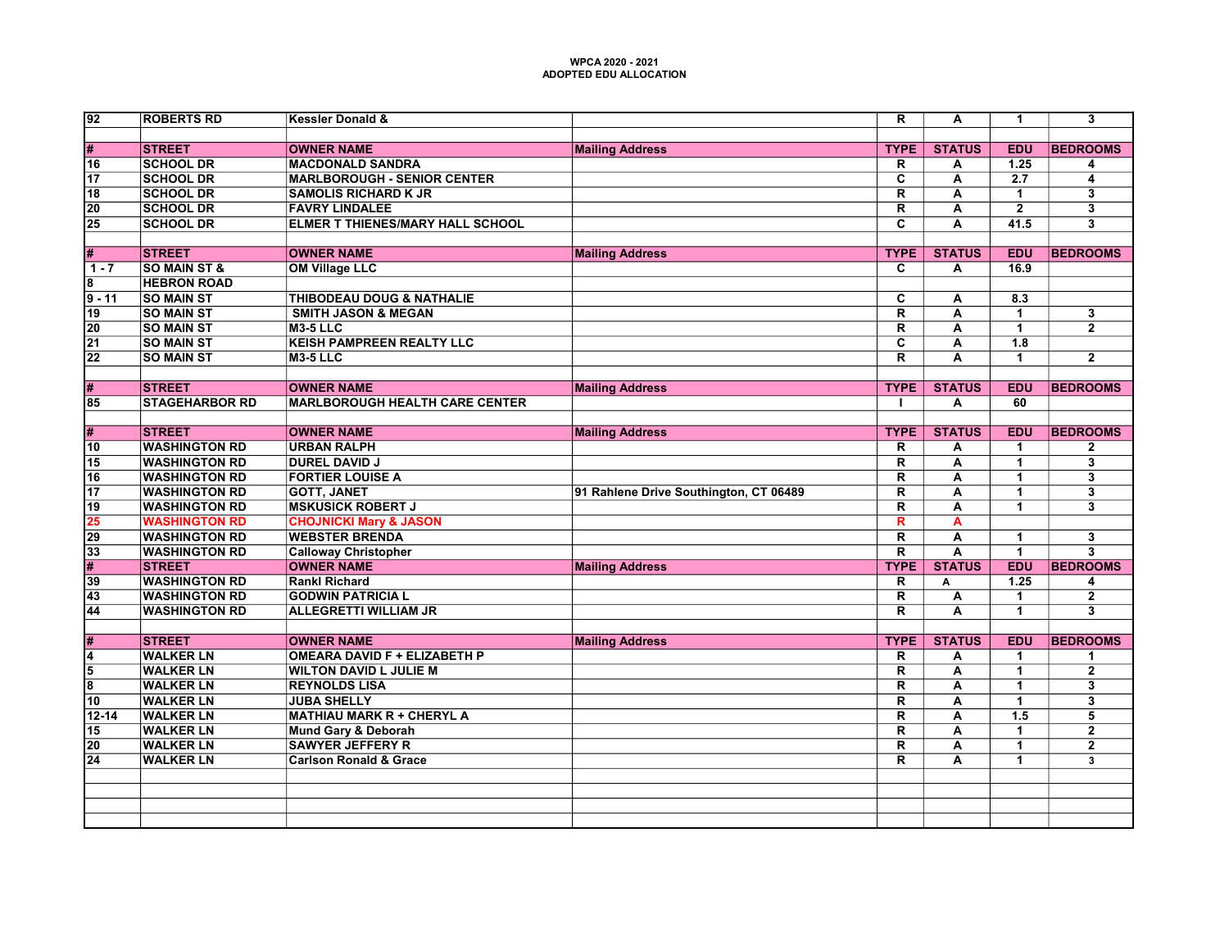| 92              | <b>ROBERTS RD</b>       | <b>Kessler Donald &amp;</b>             |                                        | $\overline{\mathsf{R}}$ | $\overline{\mathsf{A}}$ | $\blacktriangleleft$ | $\overline{\mathbf{3}}$   |
|-----------------|-------------------------|-----------------------------------------|----------------------------------------|-------------------------|-------------------------|----------------------|---------------------------|
|                 |                         |                                         |                                        |                         |                         |                      |                           |
| #               | <b>STREET</b>           | <b>OWNER NAME</b>                       | <b>Mailing Address</b>                 | <b>TYPE</b>             | <b>STATUS</b>           | <b>EDU</b>           | <b>BEDROOMS</b>           |
| 16              | <b>SCHOOL DR</b>        | <b>MACDONALD SANDRA</b>                 |                                        | R.                      | A                       | 1.25                 | 4                         |
| $\overline{17}$ | <b>SCHOOL DR</b>        | <b>MARLBOROUGH - SENIOR CENTER</b>      |                                        | $\overline{\mathbf{c}}$ | А                       | 2.7                  | 4                         |
| $\overline{18}$ | <b>SCHOOL DR</b>        | <b>SAMOLIS RICHARD K JR</b>             |                                        | $\overline{\mathsf{R}}$ | Ā                       | $\overline{1}$       | $\overline{\overline{3}}$ |
| $\overline{20}$ | <b>SCHOOL DR</b>        | <b>FAVRY LINDALEE</b>                   |                                        | $\overline{\mathsf{R}}$ | А                       | $\overline{2}$       | $\overline{\mathbf{3}}$   |
| $\overline{25}$ | <b>SCHOOL DR</b>        | <b>ELMER T THIENES/MARY HALL SCHOOL</b> |                                        | $\overline{\mathbf{c}}$ | A                       | 41.5                 | $\overline{\mathbf{3}}$   |
| #               | <b>STREET</b>           | <b>OWNER NAME</b>                       | <b>Mailing Address</b>                 | <b>TYPE</b>             | <b>STATUS</b>           | <b>EDU</b>           | <b>BEDROOMS</b>           |
| $1 - 7$         | <b>SO MAIN ST &amp;</b> | <b>OM Village LLC</b>                   |                                        | $\overline{\mathbf{c}}$ | A                       | 16.9                 |                           |
| 8               | <b>HEBRON ROAD</b>      |                                         |                                        |                         |                         |                      |                           |
| $9 - 11$        | <b>SO MAIN ST</b>       | <b>THIBODEAU DOUG &amp; NATHALIE</b>    |                                        | $\overline{c}$          | A                       | 8.3                  |                           |
| $\overline{19}$ | <b>SO MAIN ST</b>       | <b>SMITH JASON &amp; MEGAN</b>          |                                        | $\overline{\mathsf{R}}$ | А                       | $\mathbf{1}$         | $\overline{\mathbf{3}}$   |
| $\overline{20}$ | <b>SO MAIN ST</b>       | <b>M3-5 LLC</b>                         |                                        | $\overline{\mathsf{R}}$ | $\overline{\mathsf{A}}$ | $\overline{1}$       | $\overline{2}$            |
| $\overline{21}$ | <b>SO MAIN ST</b>       | <b>KEISH PAMPREEN REALTY LLC</b>        |                                        | $\overline{\mathbf{c}}$ | А                       | $\overline{1.8}$     |                           |
| $\overline{22}$ | <b>SO MAIN ST</b>       | $M3-5$ LLC                              |                                        | $\overline{\mathsf{R}}$ | $\overline{\mathsf{A}}$ | $\overline{1}$       | $\overline{2}$            |
|                 |                         |                                         |                                        |                         |                         |                      |                           |
| #               | <b>STREET</b>           | <b>OWNER NAME</b>                       | <b>Mailing Address</b>                 | <b>TYPE</b>             | <b>STATUS</b>           | <b>EDU</b>           | <b>BEDROOMS</b>           |
| $\overline{85}$ | <b>STAGEHARBOR RD</b>   | <b>MARLBOROUGH HEALTH CARE CENTER</b>   |                                        |                         | А                       | 60                   |                           |
|                 |                         |                                         |                                        |                         |                         |                      |                           |
| #               | <b>STREET</b>           | <b>OWNER NAME</b>                       | <b>Mailing Address</b>                 | <b>TYPE</b>             | <b>STATUS</b>           | <b>EDU</b>           | <b>BEDROOMS</b>           |
| 10              | <b>WASHINGTON RD</b>    | <b>URBAN RALPH</b>                      |                                        | R                       | Α                       | $\blacktriangleleft$ | $\mathbf{2}$              |
| $\overline{15}$ | <b>WASHINGTON RD</b>    | <b>DUREL DAVID J</b>                    |                                        | $\overline{\mathsf{R}}$ | $\overline{\mathsf{A}}$ | $\overline{1}$       | $\overline{\mathbf{3}}$   |
| $\overline{16}$ | <b>WASHINGTON RD</b>    | <b>FORTIER LOUISE A</b>                 |                                        | $\overline{\mathsf{R}}$ | A                       | $\overline{1}$       | $\overline{\mathbf{3}}$   |
| 17              | <b>WASHINGTON RD</b>    | <b>GOTT, JANET</b>                      | 91 Rahlene Drive Southington, CT 06489 | $\overline{\mathsf{R}}$ | $\overline{\mathsf{A}}$ | $\blacktriangleleft$ | $\overline{\mathbf{3}}$   |
| $\overline{19}$ | <b>WASHINGTON RD</b>    | <b>MSKUSICK ROBERT J</b>                |                                        | $\overline{\mathsf{R}}$ | $\overline{\mathbf{A}}$ | $\blacktriangleleft$ | $\overline{\mathbf{3}}$   |
| 25              | <b>WASHINGTON RD</b>    | <b>CHOJNICKI Mary &amp; JASON</b>       |                                        | R                       | A                       |                      |                           |
| 29              | <b>WASHINGTON RD</b>    | <b>WEBSTER BRENDA</b>                   |                                        | $\overline{\mathsf{R}}$ | $\overline{\mathsf{A}}$ | $\overline{1}$       | $\overline{\mathbf{3}}$   |
| 33              | <b>WASHINGTON RD</b>    | <b>Calloway Christopher</b>             |                                        | $\overline{R}$          | $\overline{\mathsf{A}}$ | $\overline{1}$       | $\overline{\mathbf{3}}$   |
| $\overline{\#}$ | <b>STREET</b>           | <b>OWNER NAME</b>                       | <b>Mailing Address</b>                 | <b>TYPE</b>             | <b>STATUS</b>           | EDU                  | <b>BEDROOMS</b>           |
| $\overline{39}$ | <b>WASHINGTON RD</b>    | <b>Rankl Richard</b>                    |                                        | $\overline{\mathsf{R}}$ | A                       | 1.25                 | 4                         |
| 43              | <b>WASHINGTON RD</b>    | <b>GODWIN PATRICIA L</b>                |                                        | $\overline{\mathsf{R}}$ | Α                       | $\mathbf{1}$         | $\overline{\mathbf{2}}$   |
| 44              | <b>WASHINGTON RD</b>    | <b>ALLEGRETTI WILLIAM JR</b>            |                                        | $\overline{\mathsf{R}}$ | $\overline{\mathsf{A}}$ | $\blacktriangleleft$ | $\overline{\mathbf{3}}$   |
|                 |                         |                                         |                                        |                         |                         |                      |                           |
| #               | <b>STREET</b>           | <b>OWNER NAME</b>                       | <b>Mailing Address</b>                 | <b>TYPE</b>             | <b>STATUS</b>           | <b>EDU</b>           | <b>BEDROOMS</b>           |
| 4               | <b>WALKER LN</b>        | <b>OMEARA DAVID F + ELIZABETH P</b>     |                                        | R                       | А                       | $\blacktriangleleft$ | 1                         |
| 5               | <b>WALKER LN</b>        | <b>WILTON DAVID L JULIE M</b>           |                                        | $\overline{\mathsf{R}}$ | A                       | $\overline{1}$       | $\overline{2}$            |
| 8               | <b>WALKER LN</b>        | <b>REYNOLDS LISA</b>                    |                                        | $\overline{\mathbf{R}}$ | $\overline{\mathsf{A}}$ | $\overline{1}$       | $\overline{\mathbf{3}}$   |
| 10              | <b>WALKER LN</b>        | <b>JUBA SHELLY</b>                      |                                        | $\overline{\mathsf{R}}$ | A                       | $\overline{1}$       | $\overline{\mathbf{3}}$   |
| $12 - 14$       | <b>WALKER LN</b>        | <b>MATHIAU MARK R + CHERYL A</b>        |                                        | $\overline{\mathsf{R}}$ | А                       | 1.5                  | 5                         |
| $\overline{15}$ | <b>WALKER LN</b>        | <b>Mund Gary &amp; Deborah</b>          |                                        | $\overline{\mathsf{R}}$ | A                       | $\overline{1}$       | $\overline{2}$            |
| $\overline{20}$ | <b>WALKER LN</b>        | <b>SAWYER JEFFERY R</b>                 |                                        | $\overline{\mathsf{R}}$ | A                       | $\mathbf{1}$         | $\overline{\mathbf{2}}$   |
| $\overline{24}$ | <b>WALKER LN</b>        | <b>Carlson Ronald &amp; Grace</b>       |                                        | $\overline{\mathsf{R}}$ | $\overline{\mathsf{A}}$ | 1                    | 3                         |
|                 |                         |                                         |                                        |                         |                         |                      |                           |
|                 |                         |                                         |                                        |                         |                         |                      |                           |
|                 |                         |                                         |                                        |                         |                         |                      |                           |
|                 |                         |                                         |                                        |                         |                         |                      |                           |